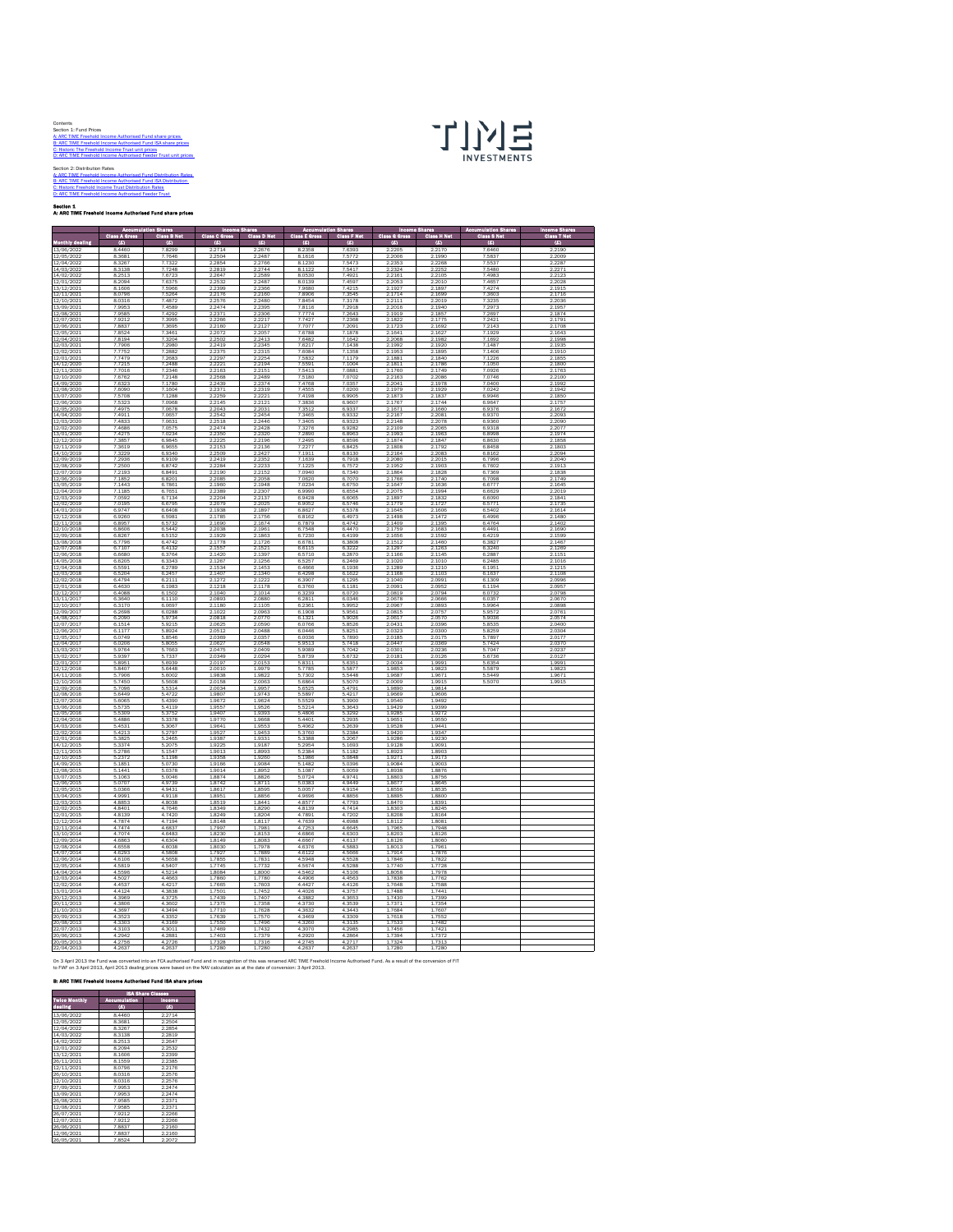| Contents                                                        |
|-----------------------------------------------------------------|
| Section 1: Fund Prices                                          |
| A: ARC TIME Freehold Income Authorised Fund share prices        |
| B: ARC TIME Freehold Income Authorised Fund ISA share prices    |
| C: Historic The Freehold Income Trust unit prices               |
| D: ARC TIME Freehold Income Authorised Feeder Trust unit prices |
|                                                                 |
| Section 2: Distribution Rates                                   |
| A: ARC TIME Freehold Income Authorised Fund Distribution Rates  |
| B: ARC TIME Freehold Income Authorised Fund ISA Distribution    |



[C: Historic Freehold In](#page-3-0)come Trust Distribution Rates [D: ARC TIME Freehold](#page-4-0) Income Authorised Feeder Trust

<span id="page-0-0"></span>Section 1<br>A: ARC TIME Freehold Income Authorised Fund share prices

|                          | Class A Gr       | <b>Class B Net</b> | ia C Gr          | ss D Net<br>G    | cı.<br>18 E G      | a F Not<br><b>CH</b> | <b>Ch</b><br>ss G Gro | <b>CI</b><br>as H Net | ss S Not         | sa T Not<br>п    |
|--------------------------|------------------|--------------------|------------------|------------------|--------------------|----------------------|-----------------------|-----------------------|------------------|------------------|
| thiv de<br>13/06/2022    | (2)<br>8.4460    | (6)<br>7.8299      | (6)<br>22714     | (4)<br>2.2676    | $\omega$<br>8.2358 | (6)<br>7.6393        | (6)<br>2205           | (6)<br>22170          | (6)<br>76460     | (6)<br>22190     |
| 12/05/2022               | 8.3681           | 7.7646             | 2504             | 2487             | 8.1616             | 75772                | 2006                  | 2.1990                | 75837            | 2009             |
| 12/04/2022               | 8.3267           | 7.7322<br>7.7248   | 2.2854           | 2.2766           | 8.1230             | 7.5473<br>7.5417     | 2.2353                | 2.2268                | 7.5537<br>7.5480 | 2.2287           |
| 14/03/2022<br>14/02/2022 | 8.3138<br>8.2513 | 7.6723             | 2.2819<br>2.2647 | 2.2744<br>2.2589 | 8.1122<br>8.0530   | 7,4921               | 2.2324<br>2.2161      | 2.2252<br>2.2105      | 7,4983           | 2.2271<br>2.2123 |
| 12/01/202                | 8.2094<br>8.1606 | 7.6375             | 2.2532           | 2487             | 8.0139<br>7.9680   | 7.4597<br>7,4215     | 2.2053                | 2.2010                | 7.4657<br>7.4274 | 2.2028<br>2.1915 |
| 13/12/2021<br>12/11/2021 | 8.0796           | 7.5966<br>7.5264   | 2.2399<br>2.2176 | 2.2366<br>2.2160 | 7.8906             | 7.3545               | 2.1927<br>2.1714      | 2.1897<br>2.1699      | 7.3603           | 2.1716           |
| 12/10/2021<br>13/09/2021 | 8.0316<br>7.9953 | 74872<br>7.4589    | 2.2576<br>2.2474 | 2.2480<br>2.2395 | 7.8454<br>7.8116   | 7.3178<br>7.2918     | 22111<br>2.2016       | 2.2019<br>2.1940      | 7.3235<br>7.2973 | 2.2036<br>2.1957 |
| 12/08/2021               | 7.9585           | 7.4292             | 2.2371           | 2.2306           | 7.7774             | 7.2643               | 2.1919                | 2.1857                | 7.2697           | 2.1874           |
| 12/07/2021<br>12/06/2021 | 7.9212<br>7,8837 | 7.3995<br>7.3695   | 2.2266<br>2.2160 | 2.2217<br>2.212  | 7.7427<br>7.7077   | 7.2368<br>7.2091     | 2.1822<br>2.1723      | 2.1775<br>2.1692      | 7.2421<br>7.2143 | 2.1791<br>2.1708 |
| 12/05/202                | 7.8524           | 7.3461             | 2.2072           | .205             | 7.6788             | 7.1878               | 2.1641                | 2.1627                | 7.1929           | 2.1643           |
| 12/04/2021<br>12/03/2021 | 7.8194<br>7.7906 | 7.3204<br>7.2980   | 2.2502<br>2.2419 | 2.2413<br>2.2345 | 7.6482<br>7.6217   | 7.1642<br>7.1438     | 2.2068<br>2.1992      | 2.1982<br>2.1920      | 7.1692<br>7.148  | 2.1998<br>2.193  |
| 12/02/2021               | 7.7752           | 7.2882             | 2.2375           | 2.2315           | 7,6084             | 7.1358               | 2.1953                | 2.1895                | 7.1406           | 2.1910           |
| 12/01/2021<br>14/12/2020 | 7.7479<br>7.7215 | 7.2683<br>7.2488   | 2.2297<br>2.2221 | 2.2254<br>2.2194 | 7.5832<br>7.5591   | 7.1179<br>7.1004     | 2.1881<br>2.1811      | 2.1840<br>2.1786      | 7.1226<br>7.1050 | 2.1855<br>2.1800 |
| 12/11/2020               | 7.7016           | 7.2346             | 2.2163           | 2.2151           | 7.5413             | 7.0881               | 2.1760                | 2.1749                | 7.0926           | 2.1763           |
| 12/10/2020<br>14/09/2020 | 7,6762<br>7.632  | 7.2148<br>7.1780   | 2.2568<br>2439   | 2.2489<br>2374   | 7.5180<br>7.4768   | 7.0702<br>7.035      | 2.2163                | 2.2086<br>2.1978      | 7.0746<br>7.0400 | 2.2100           |
| 12/08/2020               | 7,6090           | 7.1604             | 2.2371           | 2.2319           | 7.4555             | 7.0200               | 2.1979                | 2.1929                | 7.0242<br>6.9946 | 2.1942           |
| 13/07/2020<br>12/06/2020 | 7.5708<br>7.5323 | 7.1288<br>7.0968   | 2.2259<br>2.2145 | 2.2221<br>2.2121 | 7.4198<br>7.3836   | 6.9905<br>6.9607     | 2.1873<br>2.1767      | 2.1837<br>2.1744      | 6.9647           | 2.1850<br>2.175  |
| 12/05/2020               | 7,4975           | 7.0678             | 2.2043           | 2.2031           | 7.3512             | 6.9337               | 2.1671                | 2.1660                | 6,9376           | 2.1672           |
| 14/04/2020<br>12/03/2020 | 7,4911<br>7,4833 | 7.0657<br>7.0631   | 2.2542<br>2.2518 | 2.2454<br>2.2446 | 7.3465<br>7.3405   | 6.9332<br>6.9323     | 2.2167<br>2.2148      | 2.2081<br>2.2078      | 6.9370<br>6.9360 | 2.2093<br>2.2090 |
| 12/02/2020               | 7,4686           | 7.0575             | 2.2474           | 2.2428           | 7.3276             | 6.9282               | 2.2109                | 2.2065                | 6,9318           | 2.2077           |
| 13/01/2020<br>12/12/2019 | 7.4275<br>7,3857 | 7.0234<br>6.9845   | 2.2350<br>2.2225 | 2.2320           | 7.2890             | 6.8963<br>6,8596     | 2.1993<br>2.1874      | 2.1963<br>2.1847      | 6.8998<br>6,8630 | 2.1974<br>2.1858 |
| 12/11/2019               | 7.3619           | 6.9655             | 2.2153           | 2.2196<br>2.2136 | 7.2495<br>7.2277   | 6.8425               | 2.1808                | 2.1792                | 6.8458           | 2.1803           |
| 14/10/2019<br>12/09/2019 | 7.3229           | 6,9340<br>6.9109   | 2.2509<br>2.2419 | 2.2427           | 7.1911<br>7.1639   | 6,8130<br>6.7918     | 2.2164                | 2.2083<br>2.2015      | 6.8162<br>6.7996 | 2.2094<br>2.2040 |
| 12/08/2019               | 7.2936<br>7.2500 | 6.8742             | 2.2284           | 2.2352<br>2.2233 | 7.1225             | 6.7572               | 2.2080<br>2.1952      | 2.1903                | 6.7602           | 2.1913           |
| 12/07/2019<br>12/06/2019 | 7.2193<br>7.1852 | 6.8491<br>6,8201   | 2.2190<br>2.2085 | 2.2152<br>2.2058 | 7.0940<br>7.0620   | 6.7340<br>6,7070     | 2.1864<br>2.1766      | 2.1828<br>2.1740      | 6.7369<br>6,7098 | 2.1838<br>2.1749 |
| 13/05/2019               | 7.1443           | 6.7861             | 2.1960           | 2.1948           | 7.0234             | 6.6750               | 2.1647                | 2.1636                | 6.6777           | 2.1645           |
| 12/04/2019<br>12/03/2019 | 7.1185<br>7.0592 | 6,7651<br>6.7134   | 2.2389<br>2.2204 | 2.2307<br>2.2137 | 6,9990<br>6.9428   | 6,6554<br>6.6065     | 2.2075<br>2.1897      | 2.1994<br>2.1832      | 6,6629<br>6.6090 | 2.2019<br>2.1841 |
| 12/02/2019               | 7.0195           | 6,6795             | 2.2079           | 2.202            | 6.9052             | 6.5746               | 2.1779                | 2.1727                | 6.577            | 2.173            |
| 14/01/2019<br>12/12/2018 | 6.9747<br>6.9260 | 6,6408<br>6,5981   | 2.1938<br>2.1785 | 2.1897<br>2.1756 | 6,8627<br>6.8162   | 6.5378<br>6.4973     | 2.1645<br>2.1498      | 2.1606<br>2.1472      | 6,5402<br>6,499  | 2.1614<br>2.1480 |
| 12/11/2018               | 6.895            | 6.5732             | 2.1690           | 2.1674           | 6.7879             | 6.4742               | 2.1409                | 2.1395                | 6.4764           | 2.1402           |
| 12/10/2018<br>12/09/2018 | 6,8606<br>6.8267 | 6,5442<br>6.5152   | 2.2038<br>2.1929 | 2.1961<br>2.1863 | 6.7548<br>6.7230   | 6,4470<br>6.4199     | 2.1759<br>2.1656      | 2.1683<br>2.1592      | 6,4491<br>6.4219 | 2.1690<br>2.1599 |
| 13/08/2018               | 6.7796           | 6.4742             | 2.1778           | 2.1726           | 6,6781             | 6.3808               | 2.1512                | 2.1460                | 6.3827           | 2.1467           |
| 12/07/2018<br>12/06/2018 | 6.7107<br>6,6680 | 6.4132<br>6,3764   | 2.155<br>2.1420  | 2.1521<br>2.1397 | 6.6115<br>6,5710   | 6.3222<br>6.2870     | 2.1297<br>2.1166      | 2.1263<br>2.1145      | 6.3240<br>6.2887 | 2.1269<br>2.115: |
| 14/05/2018               | 6.6205           | 6,3343             | 2.1267           | 2.1256           | 6.5257             | 6.2469               | 2.1020                | 2.1010                | 6,2485           | 2.1016           |
| 12/04/2018<br>12/03/2018 | 6,559<br>6.5204  | 6.2789<br>6.2457   | 2.153<br>2.1407  | 2.1453<br>2.1340 | 6.4666<br>6.4298   | 6.1936<br>6.1622     | 2.1289<br>2.1168      | 2.1210<br>2.1103      | 6.1951<br>6.1637 | 2.121<br>2.1108  |
| 12/02/2018               | 6,4794           | 6.2111             | 2.1272           | 2.1222           | 6,3907             | 6.1295               | 2.1040                | 2.0991                | 6.1309           | 2.0996           |
| 12/01/2018<br>12/12/2017 | 6.4630<br>6.4088 | 6.1983<br>6.1502   | 2.1218<br>2.1040 | 2.1178<br>2.1014 | 6.3760<br>6.3239   | 6.1181<br>6.0720     | 2.0991<br>2.0819      | 2.0952<br>2.0794      | 6.1194<br>6.0732 | 2.0957<br>2.0798 |
| 13/11/2017               | 6.3640           | 6.1110             | 2.0893           | 2.0880           | 6.2811             | 6.0346<br>59952      | 2.0678                | 2.0666                | 6.0357           | 2.0670           |
| 12/10/2017<br>12/09/2017 | 6,3170<br>6,2698 | 6,0697<br>6.0288   | 2.1180<br>2.1022 | 2.1105<br>2.0963 | 6,2361<br>6,1908   | 5.9561               | 2.0967<br>2.0815      | 2.0893<br>2.0757      | 5,9964<br>5.9572 | 2.0898<br>2.0761 |
| 14/08/2017               | 6.2090           | 5.9734             | 2.0818           | 2.0770<br>2.0590 | 6.1321             | 5.9026               | 2.0617                | 2.0570                | 5.9036           | 2.0574           |
| 12/07/2017<br>12/06/2017 | 6.1514<br>6.1177 | 5.9215<br>5.8924   | 2.062<br>2.0512  | 2.0488           | 6.0766<br>6.0446   | 5.8526<br>5.8251     | 2.0431<br>2.0323      | 2.0396<br>2.0300      | 5.853<br>5.8259  | 2.0400<br>2.0304 |
| 12/05/2017               | 6.0749           | 5.8546             | 2.0369           | 2.0357           | 6.0036             | 5.7890               | 2.0185                | 2.0175                | 5.7897           | 2.0177           |
| 12/04/2017<br>13/03/201  | 6.0206<br>5.9764 | 5.8055<br>5.7663   | 2.0627<br>2.0475 | 2.0548<br>2.0409 | 5.9513<br>5.9089   | 5.7418<br>5.7042     | 2.0447<br>2.0301      | 2.0369<br>2.0236      | 5.7424<br>5.704  | 2.0370<br>2.023  |
| 13/02/2017<br>12/01/2017 | 5.9397<br>5,8951 | 5.7337<br>5.6939   | 2.0349<br>2.0197 | 2.0294<br>2.0153 | 5.8739<br>5,8311   | 56732<br>5.6351      | 2.0181<br>2.0034      | 20126<br>1.9991       | 5.6736<br>5,6354 | 2.0127<br>1.9991 |
| 12/12/2016               | 5.8407           | 5.6448             | 2.0010           | 1.9979           | 5.7785             | 5.5877               | 1.9853                | 1.9823                | 5.5879           | 1.9823           |
| 14/11/2016<br>12/10/2016 | 5.7906<br>5.7450 | 5,6002<br>5,5608   | 1.9838<br>2.0158 | 1.9822<br>2.0063 | 5.7302<br>5.6864   | 5.5448<br>5,5070     | 1.9687<br>2.0009      | 1.9671<br>1.9915      | 5.5449<br>5,5070 | 1.967<br>1.9915  |
| 12/09/2016               | 5.7096           | 5.5314             | 2.0034           | 1.9957           | 5.6525             | 5.4791               | 1.9890                | 1.9814                |                  |                  |
| 12/08/2016<br>12/07/2016 | 5.6449<br>5.6065 | 5.4722<br>5.4390   | 1.9807<br>1.9672 | 1.9743<br>1.9624 | 5.5897<br>5.5529   | 5.4217<br>5.3900     | 1.9669<br>1.9540      | 1.9606<br>1.9492      |                  |                  |
| 13/06/2016               | 5.5735           | 5.4119             | 19557            | 19526            | 55214              | 5.3643               | 19429                 | 19399                 |                  |                  |
| 12/05/2016<br>12/04/2016 | 5,5309<br>5.4886 | 5.3752<br>5.3378   | 1,9407<br>1.9770 | 1.9393<br>1.9668 | 5,4806<br>5.4401   | 5.3292<br>5.2935     | 1.9285<br>1.9651      | 1.9272<br>1.9550      |                  |                  |
| 14/03/2016               | 5.4531           | 5,3067             | 1.964:           | 1.9553           | 54062              | 5.2639               | 1.9528                | 19441                 |                  |                  |
| 12/02/2016<br>12/01/2016 | 5.4213<br>5.3825 | 5,2797<br>5.2465   | 1.9527<br>1.9387 | 1.9453<br>1.9331 | 5.3760<br>5.3388   | 5.2384<br>5.2067     | 1.9420<br>1.9286      | 1.9347<br>1.9230      |                  |                  |
| 14/12/2018               | 5.3374           | 5.2075             | 1.9225           | 1.9187           | 5.2954             | 5.1693               | 1.9128                | 1.9091                |                  |                  |
| 12/11/2015<br>12/10/2015 | 5.2786<br>5.2372 | 5.1547<br>5.1198   | 1.9013<br>1.9358 | 1.8993<br>1.9260 | 5.2384<br>5.1986   | 5.1182<br>5.0848     | 1.8923<br>1.9271      | 1,8903<br>1.9173      |                  |                  |
| 14/09/2015               | 5.1851           | 5.0730             | 1.9166           | 1,9084           | 5.1482             | 5.0396               | 1.9084                | 1.9003                |                  |                  |
| 12/08/2015<br>13/07/2015 | 5.1441<br>5.1063 | 5.0378<br>5.0046   | 1.9014<br>1.8874 | 1.8952<br>1.8826 | 5.1087<br>5.0724   | 5.0059<br>49741      | 1.8938<br>1.8803      | 1,8876<br>18756       |                  |                  |
| 12/06/2015               | 5,0707           | 4.9739             | 1.8742           | 1.8711           | 5.0383             | 4.9449               | 1,8677                | 1.8645                |                  |                  |
| 12/05/2015<br>13/04/2015 | 5.0366<br>4.9991 | 4.9431<br>4.9118   | 1.8617<br>1.895  | 1.8595<br>1.8856 | 5.0057<br>4.9696   | 4.9154<br>4.8856     | 1.8556<br>1.8895      | 1.8535<br>1.8800      |                  |                  |
| 12/03/2015<br>12/02/2015 | 4,8853<br>4,8401 | 4,8038<br>4.7646   | 1.8519<br>1.8349 | 1.8441<br>1.829  | 4.8577<br>4.8139   | 4.7793<br>4.7414     | 1,8470<br>1.8303      | 1,8391                |                  |                  |
| 12/01/2015               | 4,8139           | 4.7420             | 1.8249           | 1.8204           | 4.7891             | 4.7202               | 1.8208                | 1.8164                |                  |                  |
| 12/12/2014<br>12/11/2014 | 4.7874<br>A7A7A  | 4.7194<br>A 6837   | 1.8148<br>1 7997 | 1.8117<br>17981  | 4.7639<br>4.7253   | 4.6988<br>46645      | 1.8112<br>17965       | 1,8081<br>17948       |                  |                  |
| 13/10/2014               | 4,7074           | 4,6483             | 1,8230           | 1.8153           | 4,6866             | 4,6303               | 1,8203                | 1.8126                |                  |                  |
| 12/09/2014<br>12/08/2014 | 4.6863<br>4.6558 | 4.6304<br>4.6038   | 1.8149<br>1.8030 | 1.8083<br>1.7978 | 4.6667<br>4.6376   | 4.6137<br>4.5883     | 1.8126<br>1.8013      | 1.8060<br>1.796:      |                  |                  |
| 14/07/2014               | 4.6293           | 4,5808             | 1.7927           | 1.7889           | 4.6122             | 4.5666               | 1.7914                | 1.7876                |                  |                  |
| 12/06/2014<br>12/05/2014 | 4.6106<br>4.5819 | 4.5658<br>4.5407   | 1.7855<br>1.7745 | 1.7831<br>1.7732 | 4.5948<br>4.5674   | 4.5528<br>4.5288     | 1.7846<br>1,7740      | 1.7822<br>1.7728      |                  |                  |
| 14/04/2014               | 4.5596           | 4.5214             | 1.8084           | 1.8000           | 4.5462             | 4.5106               | 1.8058                | 1.7978                |                  |                  |
| 12/03/2014<br>12/02/2014 | 4.5027<br>4,4537 | 4.4663<br>4.4217   | 1.7860<br>1,7665 | 1.7780<br>1.7603 | 4.4906<br>4.4427   | 4.4563<br>4.4126     | 1.7838<br>1,7648      | 1,7762<br>1,7588      |                  |                  |
| 13/01/2014               | 4.4124           | 4.3838             | 1.7501           | 1.7452           | 4.4026             | 4.3757               | 1.7488                | 1.7441                |                  |                  |
| 20/12/2013<br>20/11/2013 | 4.3969<br>4.3806 | 4.3725<br>4.3602   | 1.7439<br>1.7375 | 1.7407<br>1.7358 | 4.388<br>4.3730    | 4.3653<br>4.3539     | 1.7430<br>1.7371      | 1.7399<br>1.7354      |                  |                  |
| 21/10/2013               | 4.3697           | 4.3494             | 1.7710           | 1.7628           | 4.3632<br>4.3469   | 4.3443               | 1.7684                | 1.7607<br>1.7552      |                  |                  |
| 20/09/2013<br>20/08/2013 | 4.3523<br>4.3303 | 4.3352<br>4.3169   | 1.7639<br>1.7550 | 17570<br>1.7496  | 4.3260             | 4.3309<br>4.3135     | 1,7618<br>1.7533      | 1.7482                |                  |                  |
| 22/07/2013               | 4.3103           | 4.3011             | 1,7469           | 1.7432           | 4.3070             | 4.2985               | 1.7456                | 1.742:                |                  |                  |
| 20/06/2013<br>20/05/2013 | 4.2942<br>4.2756 | 4.2881<br>4.2726   | 1.7403<br>1.7328 | 1.7379<br>1.7316 | 4.2920<br>4.2745   | 4.2864<br>4.2717     | 1.7394<br>1.7324      | 1.7372<br>1.7313      |                  |                  |
| /04/2013                 | 2637             | 2637               | 7280             | 7280             | 4.2637             | 2637                 | 1.7280                | .7280                 |                  |                  |

<span id="page-0-1"></span>On 3 April 2013 the Fund was converted into an FCA authorised Fund and in recognition of this was renamed ARC TMR Freehold Income Authorised Fund. As a result of the conversion of FIT<br>to FIAF on 3 April 2013, April 2013 de

B: ARC TIME Freehold Income Authorised Fund ISA share prices

|                      | <b>ISA Share Classes</b> |        |  |  |  |  |
|----------------------|--------------------------|--------|--|--|--|--|
| <b>Twice Monthly</b> | <b>Accumulation</b>      | ncome  |  |  |  |  |
| dealing              | (2)                      | (2)    |  |  |  |  |
| 13/06/2022           | 8.4460                   | 2.2714 |  |  |  |  |
| 12/05/2022           | 8.3681                   | 2.2504 |  |  |  |  |
| 12/04/2022           | 8.3267                   | 2.2854 |  |  |  |  |
| 14/03/2022           | 8.3138                   | 2.2819 |  |  |  |  |
| 14/02/2022           | 8.2513                   | 2.2647 |  |  |  |  |
| 12/01/2022           | 8.2094                   | 2.2532 |  |  |  |  |
| 13/12/2021           | 8.1606                   | 2.2399 |  |  |  |  |
| 26/11/2021           | 8.1559                   | 2.2385 |  |  |  |  |
| 12/11/2021           | 8.0796                   | 2.2176 |  |  |  |  |
| 26/10/2021           | 8.0316                   | 2.2576 |  |  |  |  |
| 12/10/2021           | 80316                    | 2.2576 |  |  |  |  |
| 27/09/2021           | 79953                    | 2.2474 |  |  |  |  |
| 13/09/2021           | 7,9953                   | 2.2474 |  |  |  |  |
| 26/08/2021           | 7.9585                   | 2.2371 |  |  |  |  |
| 12/08/2021           | 7.9585                   | 2.2371 |  |  |  |  |
| 26/07/2021           | 7.9212                   | 2.2266 |  |  |  |  |
| 12/07/2021           | 7.9212                   | 2.2266 |  |  |  |  |
| 26/06/2021           | 7,8837                   | 2.2160 |  |  |  |  |
| 12/06/2021           | 7,8837                   | 2.2160 |  |  |  |  |
| 26/05/2021           | 7.8524                   | 2.2072 |  |  |  |  |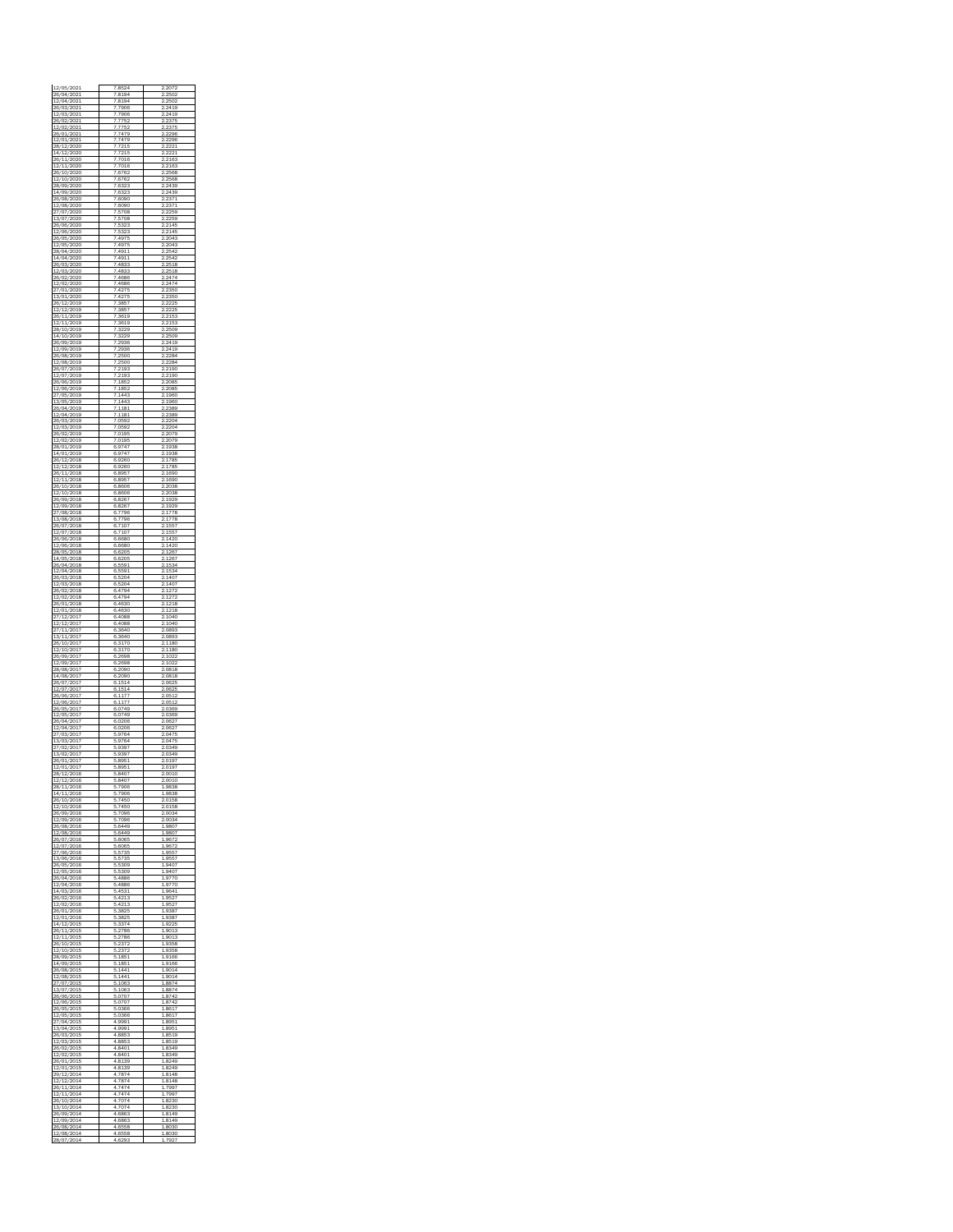<span id="page-1-0"></span>

| 2/04/2021<br>7<br>8194<br>2502<br>/03/202<br>j<br>7906<br>$\frac{1}{24}$<br>1<br>2/03/<br>202<br>7906<br>$^{24}$<br>19<br>ï<br>26/02/2021<br>752<br>375<br>7<br>2<br>2/02/<br>202<br>76<br>26/01/2021<br>7<br>7479<br>2296<br>ö<br>/01/202<br>7479<br>2<br>296<br>8/1<br>$\mathbf{z}$<br>2020<br>215<br>7<br>7<br>4/12/2020<br>7215<br>7<br>2<br>11/<br>2020<br>7016<br>216<br>26/<br>2/11/2020<br>7016<br>2163<br>7<br>ó<br>1<br>0/2020<br>6762<br>$\frac{1}{2}$<br>68<br>25<br>2/10/<br>2020<br>676<br>2568<br>ï<br>28/09/2020<br>6323<br>2439<br>7<br>2<br>4/09/<br>2020<br>6323<br>2<br>39<br>26/08/2020<br>7<br>6090<br>2371<br>ö<br>/08/2020<br>6090<br>3<br>ź<br>7/07/<br>2020<br>5<br>708<br>259<br>ï<br>3/07/2020<br>5708<br>259<br>7<br>2<br>2<br>26/06/<br>2020<br>5<br>3.<br>214<br>E<br>23<br>2/06/2020<br>7<br>5323<br>214F<br>f<br>ó<br>ć<br>/05<br>/2020<br>49<br>20<br>4<br>2/05/<br>2020<br>4975<br>04<br>7<br>٩<br>28/04/2020<br>4911<br>42<br>7<br>2<br>4/04/<br>2020<br>4<br>911<br>25<br>26/03/2020<br>7<br>4833<br>2518<br>ö<br>2/03/2020<br>4833<br>$\frac{1}{2}$<br>25<br>£<br>6/02/<br>2020<br>4686<br>2474<br>7<br>/02/2020<br>4686<br>2474<br>7<br>2<br>/01/<br>2020<br>2350<br>E<br>3/01/2020<br>7<br>4275<br>2350<br>i<br>ó<br>6/1<br>2/20<br>.9<br>385<br>2<br>$^{22}$<br>í<br>2/1<br>2/2019<br>ī<br>3857<br>2F<br>26/11/2019<br>3619<br>153<br>2<br>11/<br>2019<br>3619<br>215<br>28/10/2019<br>7<br>3229<br>2509<br>ö<br>Λ<br>10/20<br>d<br>9<br>32<br>29<br>2<br>2509<br>6/09/<br>2019<br>2936<br>2419<br>7<br>2/09/2019<br>2936<br>2419<br>7<br>2<br>26/08/<br>2019<br>25<br>228<br>ö<br>C<br>2/08/2019<br>7<br>2500<br>2284<br>f<br>ó<br>/07<br>/20<br>$\frac{1}{2}$<br>19<br>$\frac{1}{2}$<br>2<br>2/07/<br>2019<br>193<br>190<br>7<br>26/06/2019<br>1852<br>2085<br>7<br>2<br>2/06/<br>2019<br>1852<br>2085<br>27/05/2019<br>7<br>1443<br>1960<br>ö<br>3<br>/05/20<br>d<br>9<br>44<br>$\frac{1}{2}$<br>1<br>960<br>1<br>6/04/<br>2019<br>181<br>389<br>7<br>/04/2019<br>181<br>389<br>7<br>1<br>2<br>26/03/<br>2019<br>0592<br>220<br>2/03/2019<br>7.0592<br>2204<br>f<br>ö<br>ć<br>/02/20<br>019<br>2<br>207<br>2/02/<br>2019<br>7<br>0195<br>2079<br>28/01/2019<br>6.9747<br>1938<br>2<br>4/01/<br>2019<br>974<br>19<br>38<br>6<br>$\frac{26}{1}$<br>2/2018<br>6.9260<br>1785<br>ö<br>12/201<br>.8<br>6<br>9260<br>1<br>78<br>6/1<br>$\mathbf{1}^{\prime}$<br>2018<br>6<br>895<br>1690<br>ī<br>2/11/2018<br>6.8957<br>1690<br>2<br>26/10/<br>2018<br>6<br>86<br>ЮΕ<br>203<br>8<br>2/10/2018<br>6.8606<br>2038<br>i<br>ó<br>/09/20<br>6<br>826<br>$\frac{1}{2}$<br>1929<br>2/09/<br>2018<br>6<br>8267<br>1929<br>7/08/2018<br>6<br>7796<br>17<br>78<br>2<br>3/08/<br>2018<br>.<br>79<br>78<br>6<br>26/07/2018<br>6<br>.7107<br>1557<br>ö<br>2/07/20<br>d<br>.8<br>6<br>7<br>107<br>1<br>557<br>í<br>6/06/<br>2018<br>6<br>6680<br>14<br>20<br>2/06/2018<br>6.6680<br>1420<br>2<br>28/05/<br>2018<br>1267<br>6<br>6205<br>14/05/2018<br>6.6205<br>1267<br>ó<br>/04/20<br>6<br>6<br>559<br>$\frac{1}{2}$<br>1<br>2/04/<br>2018<br>6<br>5591<br>15<br>34<br>26/03/2018<br>6.5204<br>1407<br>2<br>2/03/<br>2018<br>5<br>204<br>1407<br>6<br>26/02/2018<br>6<br>4794<br>1272<br>ö<br>2/02/201<br>.8<br>6<br>4794<br>2<br>$\overline{2}$<br>1<br>6/01/<br>2018<br>6<br>4630<br>۶<br>18<br>2/01/2018<br>6<br>4630<br>1218<br>2<br>201<br>4088<br>10<br>40<br>12/<br>6<br>2/12/2017<br>6<br>4088<br>1040<br>i<br>ó<br>/20<br>6<br>3640<br>2<br>0893<br>3/1<br>$\mathbf{1}^{\prime}$<br>201<br>7<br>6<br>3640<br>0893<br>26/10/201<br>7<br>6<br>3170<br>180<br>2<br>1<br>10/<br>201<br>17C<br>1180<br>6<br>3<br>26/09/201<br>7<br>6<br>2698<br>1022<br>ö<br>/09/20<br>6<br>2698<br>102<br>8/08/<br>201<br>7<br>6<br>2090<br>0818<br>4/08/201<br>7<br>6<br>2090<br>0818<br>2<br>26/07<br>201<br>15<br>6<br>d<br>25<br>6<br>2/07/201<br>7<br>6<br>1514<br>.0625<br>f<br>ö<br>/06/20<br>6<br>1<br>$\frac{1}{2}$<br>O5<br>ź<br>2/06/<br>201<br>7<br>6<br>77<br>05<br>26/05/201<br>6.0749<br>0369<br>7<br>2<br>/05/<br>201<br>074<br>03<br>6<br>g<br>69<br>26/04/201<br>7<br>6.0206<br>.0627<br>ö<br>/04/20<br>ē<br>0206<br>2<br>062<br>7/03/<br>201<br>ī<br>5<br>9764<br>0475<br>3/03/201<br>5.9764<br>0475<br>7<br>2<br>(02)<br>201<br>ģ<br>939<br>O3<br>ãs<br>3/02/201<br>7<br>5<br>.9397<br>0349<br>ö<br>/20<br>895<br>01<br>9<br>2/01/<br>201<br>ī<br>6<br>895<br>0197<br>8/1<br>2/2016<br>5.8407<br>.0010<br>2<br>28/1<br>1/2016<br>5<br>7906<br>9838<br>i<br>ĭ<br>/201<br>7906<br>98<br>38<br>6/10/<br>2016<br>6<br>7450<br>0158<br>2/10/2016<br>7450<br>0158<br>5<br>2<br>26/09/<br>2016<br>7096<br>003<br>2/09/2016<br>F<br>7096<br>2.0034<br>i<br>6<br>/08/20<br>d<br>F<br>6449<br>980<br>2/08/<br>2016<br>6<br>6449<br>9807<br>5.6065<br>26/07/2016<br>9672<br>1<br>2/07/<br>2016<br>6065<br>Š<br>ć<br>7/06/2016<br>5<br>5735<br>9557<br>5<br>1<br>3<br>/06/201<br>é<br>5<br>5<br>35<br>955<br>6/05/<br>2016<br>5<br>5309<br>9407<br>2/05/2016<br>5<br>5309<br>9407<br>1<br>26/04/<br>2016<br>9<br>886<br>7C<br>97<br>2/04/2016<br>5<br>4886<br>9770<br>i<br>1<br>/03/201<br>4<br>F<br>F<br>453<br>9641<br>6/02/<br>2016<br>5<br>42<br>3<br>95<br>21<br>2/02/2016<br>5.4213<br>9527<br>1<br>6/01/<br>2016<br>E<br>3825<br>938<br>2/01/2016<br>5<br>3825<br>9387<br>i<br>i<br>4<br>/12/201<br>F<br>33<br>92<br>$\overline{2}$<br>6/11/<br>2015<br>5<br>2786<br>901<br>я<br>2/11/2015<br>5.2786<br>1<br>9013<br>6/10/3<br>2015<br>Ē<br>237<br>9358<br>2/10/2015<br>5<br>2372<br>9358<br>i<br>1<br>/09/201<br>F<br>851<br>9166<br>4/09/<br>2015<br>5<br>185<br>9166<br>26/08/2015<br>5<br>1441<br>9014<br>2/08/<br>2015<br>ė<br>014<br>g<br>27/07/2015<br>5<br>1063<br>8874<br>1<br>3<br>/07/201<br>£<br>F<br>1063<br>8874<br>6/06/<br>2015<br>5<br>.0707<br>874<br>5.0707<br>8742<br>2/06/2015<br>1<br>6/05/<br>2015<br>0366<br>861<br>2/05/2015<br>5<br>.0366<br>8617<br>i<br>1<br>/04/201<br>Á<br>999<br>895<br>3/04/<br>2015<br>4<br>9991<br>895<br>26/03/2015<br>4.8853<br>8519<br>2015<br>885<br>19<br>2/03/<br>85<br>26/02/2015<br>4.8401<br>8349<br>1<br>2/02/201<br>£<br>4<br>8401<br>8349<br>6/01/<br>2015<br>4<br>8139<br>8249<br>2/01/2015<br>4.8139<br>8249<br>1<br>2014<br>8148<br>12/<br>'87<br>9,<br>2/12/2014<br>ā<br>7874<br>8148<br>i<br>1<br>ć<br>$\sqrt{1}$<br>1/20<br>Δ<br>Á<br>74<br>74<br>7991<br>2/1<br>$\mathbf{1}^{\prime}$<br>2014<br>7474<br>7997<br>Δ<br>26/10/2014<br>4.<br>7074<br>8230<br>1<br>10/<br>2014<br>7074<br>823<br>C<br>26/09/2014<br>4.6863<br>8149<br>i<br>/09/201<br>Δ<br>Á<br>6863<br>81<br>49<br>6/08/<br>2014<br>6558<br>8030<br>4<br>2/08/2014<br>4.6558<br>8030<br>1<br>28/07/2014<br>4.6293<br>1<br>7927 | L2/05/2021<br>26/04/2021 | 8524<br>7 | 2<br>2072 |
|-----------------------------------------------------------------------------------------------------------------------------------------------------------------------------------------------------------------------------------------------------------------------------------------------------------------------------------------------------------------------------------------------------------------------------------------------------------------------------------------------------------------------------------------------------------------------------------------------------------------------------------------------------------------------------------------------------------------------------------------------------------------------------------------------------------------------------------------------------------------------------------------------------------------------------------------------------------------------------------------------------------------------------------------------------------------------------------------------------------------------------------------------------------------------------------------------------------------------------------------------------------------------------------------------------------------------------------------------------------------------------------------------------------------------------------------------------------------------------------------------------------------------------------------------------------------------------------------------------------------------------------------------------------------------------------------------------------------------------------------------------------------------------------------------------------------------------------------------------------------------------------------------------------------------------------------------------------------------------------------------------------------------------------------------------------------------------------------------------------------------------------------------------------------------------------------------------------------------------------------------------------------------------------------------------------------------------------------------------------------------------------------------------------------------------------------------------------------------------------------------------------------------------------------------------------------------------------------------------------------------------------------------------------------------------------------------------------------------------------------------------------------------------------------------------------------------------------------------------------------------------------------------------------------------------------------------------------------------------------------------------------------------------------------------------------------------------------------------------------------------------------------------------------------------------------------------------------------------------------------------------------------------------------------------------------------------------------------------------------------------------------------------------------------------------------------------------------------------------------------------------------------------------------------------------------------------------------------------------------------------------------------------------------------------------------------------------------------------------------------------------------------------------------------------------------------------------------------------------------------------------------------------------------------------------------------------------------------------------------------------------------------------------------------------------------------------------------------------------------------------------------------------------------------------------------------------------------------------------------------------------------------------------------------------------------------------------------------------------------------------------------------------------------------------------------------------------------------------------------------------------------------------------------------------------------------------------------------------------------------------------------------------------------------------------------------------------------------------------------------------------------------------------------------------------------------------------------------------------------------------------------------------------------------------------------------------------------------------------------------------------------------------------------------------------------------------------------------------------------------------------------------------------------------------------------------------------------------------------------------------------------------------------------------------------------------------------------------------------------------------------------------------------------------------------------------------------------------------------------------------------------------------------------------------------------------------------------------------------------------------------------------------------------------------------------------------------------------------------------------------------------------------------------------------------------------------------------------------------------------------------------------------------------------------------------------------------------------------------------------------------------------------------------------------------------------------------------------------------------------------------------------------------------------------------------------------------------------------------------------------------------------------------------------------------------------------------------------------------------------------------------------------------------------------------------------------------------------------------------------------------------------------------------------------------------------------------------------------------------------------------------------------------------------------------------------------|--------------------------|-----------|-----------|
|                                                                                                                                                                                                                                                                                                                                                                                                                                                                                                                                                                                                                                                                                                                                                                                                                                                                                                                                                                                                                                                                                                                                                                                                                                                                                                                                                                                                                                                                                                                                                                                                                                                                                                                                                                                                                                                                                                                                                                                                                                                                                                                                                                                                                                                                                                                                                                                                                                                                                                                                                                                                                                                                                                                                                                                                                                                                                                                                                                                                                                                                                                                                                                                                                                                                                                                                                                                                                                                                                                                                                                                                                                                                                                                                                                                                                                                                                                                                                                                                                                                                                                                                                                                                                                                                                                                                                                                                                                                                                                                                                                                                                                                                                                                                                                                                                                                                                                                                                                                                                                                                                                                                                                                                                                                                                                                                                                                                                                                                                                                                                                                                                                                                                                                                                                                                                                                                                                                                                                                                                                                                                                                                                                                                                                                                                                                                                                                                                                                                                                                                                                                                                                                                                               |                          | 8194      | 02<br>25  |
|                                                                                                                                                                                                                                                                                                                                                                                                                                                                                                                                                                                                                                                                                                                                                                                                                                                                                                                                                                                                                                                                                                                                                                                                                                                                                                                                                                                                                                                                                                                                                                                                                                                                                                                                                                                                                                                                                                                                                                                                                                                                                                                                                                                                                                                                                                                                                                                                                                                                                                                                                                                                                                                                                                                                                                                                                                                                                                                                                                                                                                                                                                                                                                                                                                                                                                                                                                                                                                                                                                                                                                                                                                                                                                                                                                                                                                                                                                                                                                                                                                                                                                                                                                                                                                                                                                                                                                                                                                                                                                                                                                                                                                                                                                                                                                                                                                                                                                                                                                                                                                                                                                                                                                                                                                                                                                                                                                                                                                                                                                                                                                                                                                                                                                                                                                                                                                                                                                                                                                                                                                                                                                                                                                                                                                                                                                                                                                                                                                                                                                                                                                                                                                                                                               |                          |           |           |
|                                                                                                                                                                                                                                                                                                                                                                                                                                                                                                                                                                                                                                                                                                                                                                                                                                                                                                                                                                                                                                                                                                                                                                                                                                                                                                                                                                                                                                                                                                                                                                                                                                                                                                                                                                                                                                                                                                                                                                                                                                                                                                                                                                                                                                                                                                                                                                                                                                                                                                                                                                                                                                                                                                                                                                                                                                                                                                                                                                                                                                                                                                                                                                                                                                                                                                                                                                                                                                                                                                                                                                                                                                                                                                                                                                                                                                                                                                                                                                                                                                                                                                                                                                                                                                                                                                                                                                                                                                                                                                                                                                                                                                                                                                                                                                                                                                                                                                                                                                                                                                                                                                                                                                                                                                                                                                                                                                                                                                                                                                                                                                                                                                                                                                                                                                                                                                                                                                                                                                                                                                                                                                                                                                                                                                                                                                                                                                                                                                                                                                                                                                                                                                                                                               |                          |           |           |
|                                                                                                                                                                                                                                                                                                                                                                                                                                                                                                                                                                                                                                                                                                                                                                                                                                                                                                                                                                                                                                                                                                                                                                                                                                                                                                                                                                                                                                                                                                                                                                                                                                                                                                                                                                                                                                                                                                                                                                                                                                                                                                                                                                                                                                                                                                                                                                                                                                                                                                                                                                                                                                                                                                                                                                                                                                                                                                                                                                                                                                                                                                                                                                                                                                                                                                                                                                                                                                                                                                                                                                                                                                                                                                                                                                                                                                                                                                                                                                                                                                                                                                                                                                                                                                                                                                                                                                                                                                                                                                                                                                                                                                                                                                                                                                                                                                                                                                                                                                                                                                                                                                                                                                                                                                                                                                                                                                                                                                                                                                                                                                                                                                                                                                                                                                                                                                                                                                                                                                                                                                                                                                                                                                                                                                                                                                                                                                                                                                                                                                                                                                                                                                                                                               |                          |           |           |
|                                                                                                                                                                                                                                                                                                                                                                                                                                                                                                                                                                                                                                                                                                                                                                                                                                                                                                                                                                                                                                                                                                                                                                                                                                                                                                                                                                                                                                                                                                                                                                                                                                                                                                                                                                                                                                                                                                                                                                                                                                                                                                                                                                                                                                                                                                                                                                                                                                                                                                                                                                                                                                                                                                                                                                                                                                                                                                                                                                                                                                                                                                                                                                                                                                                                                                                                                                                                                                                                                                                                                                                                                                                                                                                                                                                                                                                                                                                                                                                                                                                                                                                                                                                                                                                                                                                                                                                                                                                                                                                                                                                                                                                                                                                                                                                                                                                                                                                                                                                                                                                                                                                                                                                                                                                                                                                                                                                                                                                                                                                                                                                                                                                                                                                                                                                                                                                                                                                                                                                                                                                                                                                                                                                                                                                                                                                                                                                                                                                                                                                                                                                                                                                                                               |                          |           |           |
|                                                                                                                                                                                                                                                                                                                                                                                                                                                                                                                                                                                                                                                                                                                                                                                                                                                                                                                                                                                                                                                                                                                                                                                                                                                                                                                                                                                                                                                                                                                                                                                                                                                                                                                                                                                                                                                                                                                                                                                                                                                                                                                                                                                                                                                                                                                                                                                                                                                                                                                                                                                                                                                                                                                                                                                                                                                                                                                                                                                                                                                                                                                                                                                                                                                                                                                                                                                                                                                                                                                                                                                                                                                                                                                                                                                                                                                                                                                                                                                                                                                                                                                                                                                                                                                                                                                                                                                                                                                                                                                                                                                                                                                                                                                                                                                                                                                                                                                                                                                                                                                                                                                                                                                                                                                                                                                                                                                                                                                                                                                                                                                                                                                                                                                                                                                                                                                                                                                                                                                                                                                                                                                                                                                                                                                                                                                                                                                                                                                                                                                                                                                                                                                                                               |                          |           |           |
|                                                                                                                                                                                                                                                                                                                                                                                                                                                                                                                                                                                                                                                                                                                                                                                                                                                                                                                                                                                                                                                                                                                                                                                                                                                                                                                                                                                                                                                                                                                                                                                                                                                                                                                                                                                                                                                                                                                                                                                                                                                                                                                                                                                                                                                                                                                                                                                                                                                                                                                                                                                                                                                                                                                                                                                                                                                                                                                                                                                                                                                                                                                                                                                                                                                                                                                                                                                                                                                                                                                                                                                                                                                                                                                                                                                                                                                                                                                                                                                                                                                                                                                                                                                                                                                                                                                                                                                                                                                                                                                                                                                                                                                                                                                                                                                                                                                                                                                                                                                                                                                                                                                                                                                                                                                                                                                                                                                                                                                                                                                                                                                                                                                                                                                                                                                                                                                                                                                                                                                                                                                                                                                                                                                                                                                                                                                                                                                                                                                                                                                                                                                                                                                                                               |                          |           |           |
|                                                                                                                                                                                                                                                                                                                                                                                                                                                                                                                                                                                                                                                                                                                                                                                                                                                                                                                                                                                                                                                                                                                                                                                                                                                                                                                                                                                                                                                                                                                                                                                                                                                                                                                                                                                                                                                                                                                                                                                                                                                                                                                                                                                                                                                                                                                                                                                                                                                                                                                                                                                                                                                                                                                                                                                                                                                                                                                                                                                                                                                                                                                                                                                                                                                                                                                                                                                                                                                                                                                                                                                                                                                                                                                                                                                                                                                                                                                                                                                                                                                                                                                                                                                                                                                                                                                                                                                                                                                                                                                                                                                                                                                                                                                                                                                                                                                                                                                                                                                                                                                                                                                                                                                                                                                                                                                                                                                                                                                                                                                                                                                                                                                                                                                                                                                                                                                                                                                                                                                                                                                                                                                                                                                                                                                                                                                                                                                                                                                                                                                                                                                                                                                                                               |                          |           |           |
|                                                                                                                                                                                                                                                                                                                                                                                                                                                                                                                                                                                                                                                                                                                                                                                                                                                                                                                                                                                                                                                                                                                                                                                                                                                                                                                                                                                                                                                                                                                                                                                                                                                                                                                                                                                                                                                                                                                                                                                                                                                                                                                                                                                                                                                                                                                                                                                                                                                                                                                                                                                                                                                                                                                                                                                                                                                                                                                                                                                                                                                                                                                                                                                                                                                                                                                                                                                                                                                                                                                                                                                                                                                                                                                                                                                                                                                                                                                                                                                                                                                                                                                                                                                                                                                                                                                                                                                                                                                                                                                                                                                                                                                                                                                                                                                                                                                                                                                                                                                                                                                                                                                                                                                                                                                                                                                                                                                                                                                                                                                                                                                                                                                                                                                                                                                                                                                                                                                                                                                                                                                                                                                                                                                                                                                                                                                                                                                                                                                                                                                                                                                                                                                                                               |                          |           |           |
|                                                                                                                                                                                                                                                                                                                                                                                                                                                                                                                                                                                                                                                                                                                                                                                                                                                                                                                                                                                                                                                                                                                                                                                                                                                                                                                                                                                                                                                                                                                                                                                                                                                                                                                                                                                                                                                                                                                                                                                                                                                                                                                                                                                                                                                                                                                                                                                                                                                                                                                                                                                                                                                                                                                                                                                                                                                                                                                                                                                                                                                                                                                                                                                                                                                                                                                                                                                                                                                                                                                                                                                                                                                                                                                                                                                                                                                                                                                                                                                                                                                                                                                                                                                                                                                                                                                                                                                                                                                                                                                                                                                                                                                                                                                                                                                                                                                                                                                                                                                                                                                                                                                                                                                                                                                                                                                                                                                                                                                                                                                                                                                                                                                                                                                                                                                                                                                                                                                                                                                                                                                                                                                                                                                                                                                                                                                                                                                                                                                                                                                                                                                                                                                                                               |                          |           |           |
|                                                                                                                                                                                                                                                                                                                                                                                                                                                                                                                                                                                                                                                                                                                                                                                                                                                                                                                                                                                                                                                                                                                                                                                                                                                                                                                                                                                                                                                                                                                                                                                                                                                                                                                                                                                                                                                                                                                                                                                                                                                                                                                                                                                                                                                                                                                                                                                                                                                                                                                                                                                                                                                                                                                                                                                                                                                                                                                                                                                                                                                                                                                                                                                                                                                                                                                                                                                                                                                                                                                                                                                                                                                                                                                                                                                                                                                                                                                                                                                                                                                                                                                                                                                                                                                                                                                                                                                                                                                                                                                                                                                                                                                                                                                                                                                                                                                                                                                                                                                                                                                                                                                                                                                                                                                                                                                                                                                                                                                                                                                                                                                                                                                                                                                                                                                                                                                                                                                                                                                                                                                                                                                                                                                                                                                                                                                                                                                                                                                                                                                                                                                                                                                                                               |                          |           |           |
|                                                                                                                                                                                                                                                                                                                                                                                                                                                                                                                                                                                                                                                                                                                                                                                                                                                                                                                                                                                                                                                                                                                                                                                                                                                                                                                                                                                                                                                                                                                                                                                                                                                                                                                                                                                                                                                                                                                                                                                                                                                                                                                                                                                                                                                                                                                                                                                                                                                                                                                                                                                                                                                                                                                                                                                                                                                                                                                                                                                                                                                                                                                                                                                                                                                                                                                                                                                                                                                                                                                                                                                                                                                                                                                                                                                                                                                                                                                                                                                                                                                                                                                                                                                                                                                                                                                                                                                                                                                                                                                                                                                                                                                                                                                                                                                                                                                                                                                                                                                                                                                                                                                                                                                                                                                                                                                                                                                                                                                                                                                                                                                                                                                                                                                                                                                                                                                                                                                                                                                                                                                                                                                                                                                                                                                                                                                                                                                                                                                                                                                                                                                                                                                                                               |                          |           |           |
|                                                                                                                                                                                                                                                                                                                                                                                                                                                                                                                                                                                                                                                                                                                                                                                                                                                                                                                                                                                                                                                                                                                                                                                                                                                                                                                                                                                                                                                                                                                                                                                                                                                                                                                                                                                                                                                                                                                                                                                                                                                                                                                                                                                                                                                                                                                                                                                                                                                                                                                                                                                                                                                                                                                                                                                                                                                                                                                                                                                                                                                                                                                                                                                                                                                                                                                                                                                                                                                                                                                                                                                                                                                                                                                                                                                                                                                                                                                                                                                                                                                                                                                                                                                                                                                                                                                                                                                                                                                                                                                                                                                                                                                                                                                                                                                                                                                                                                                                                                                                                                                                                                                                                                                                                                                                                                                                                                                                                                                                                                                                                                                                                                                                                                                                                                                                                                                                                                                                                                                                                                                                                                                                                                                                                                                                                                                                                                                                                                                                                                                                                                                                                                                                                               |                          |           |           |
|                                                                                                                                                                                                                                                                                                                                                                                                                                                                                                                                                                                                                                                                                                                                                                                                                                                                                                                                                                                                                                                                                                                                                                                                                                                                                                                                                                                                                                                                                                                                                                                                                                                                                                                                                                                                                                                                                                                                                                                                                                                                                                                                                                                                                                                                                                                                                                                                                                                                                                                                                                                                                                                                                                                                                                                                                                                                                                                                                                                                                                                                                                                                                                                                                                                                                                                                                                                                                                                                                                                                                                                                                                                                                                                                                                                                                                                                                                                                                                                                                                                                                                                                                                                                                                                                                                                                                                                                                                                                                                                                                                                                                                                                                                                                                                                                                                                                                                                                                                                                                                                                                                                                                                                                                                                                                                                                                                                                                                                                                                                                                                                                                                                                                                                                                                                                                                                                                                                                                                                                                                                                                                                                                                                                                                                                                                                                                                                                                                                                                                                                                                                                                                                                                               |                          |           |           |
|                                                                                                                                                                                                                                                                                                                                                                                                                                                                                                                                                                                                                                                                                                                                                                                                                                                                                                                                                                                                                                                                                                                                                                                                                                                                                                                                                                                                                                                                                                                                                                                                                                                                                                                                                                                                                                                                                                                                                                                                                                                                                                                                                                                                                                                                                                                                                                                                                                                                                                                                                                                                                                                                                                                                                                                                                                                                                                                                                                                                                                                                                                                                                                                                                                                                                                                                                                                                                                                                                                                                                                                                                                                                                                                                                                                                                                                                                                                                                                                                                                                                                                                                                                                                                                                                                                                                                                                                                                                                                                                                                                                                                                                                                                                                                                                                                                                                                                                                                                                                                                                                                                                                                                                                                                                                                                                                                                                                                                                                                                                                                                                                                                                                                                                                                                                                                                                                                                                                                                                                                                                                                                                                                                                                                                                                                                                                                                                                                                                                                                                                                                                                                                                                                               |                          |           |           |
|                                                                                                                                                                                                                                                                                                                                                                                                                                                                                                                                                                                                                                                                                                                                                                                                                                                                                                                                                                                                                                                                                                                                                                                                                                                                                                                                                                                                                                                                                                                                                                                                                                                                                                                                                                                                                                                                                                                                                                                                                                                                                                                                                                                                                                                                                                                                                                                                                                                                                                                                                                                                                                                                                                                                                                                                                                                                                                                                                                                                                                                                                                                                                                                                                                                                                                                                                                                                                                                                                                                                                                                                                                                                                                                                                                                                                                                                                                                                                                                                                                                                                                                                                                                                                                                                                                                                                                                                                                                                                                                                                                                                                                                                                                                                                                                                                                                                                                                                                                                                                                                                                                                                                                                                                                                                                                                                                                                                                                                                                                                                                                                                                                                                                                                                                                                                                                                                                                                                                                                                                                                                                                                                                                                                                                                                                                                                                                                                                                                                                                                                                                                                                                                                                               |                          |           |           |
|                                                                                                                                                                                                                                                                                                                                                                                                                                                                                                                                                                                                                                                                                                                                                                                                                                                                                                                                                                                                                                                                                                                                                                                                                                                                                                                                                                                                                                                                                                                                                                                                                                                                                                                                                                                                                                                                                                                                                                                                                                                                                                                                                                                                                                                                                                                                                                                                                                                                                                                                                                                                                                                                                                                                                                                                                                                                                                                                                                                                                                                                                                                                                                                                                                                                                                                                                                                                                                                                                                                                                                                                                                                                                                                                                                                                                                                                                                                                                                                                                                                                                                                                                                                                                                                                                                                                                                                                                                                                                                                                                                                                                                                                                                                                                                                                                                                                                                                                                                                                                                                                                                                                                                                                                                                                                                                                                                                                                                                                                                                                                                                                                                                                                                                                                                                                                                                                                                                                                                                                                                                                                                                                                                                                                                                                                                                                                                                                                                                                                                                                                                                                                                                                                               |                          |           |           |
|                                                                                                                                                                                                                                                                                                                                                                                                                                                                                                                                                                                                                                                                                                                                                                                                                                                                                                                                                                                                                                                                                                                                                                                                                                                                                                                                                                                                                                                                                                                                                                                                                                                                                                                                                                                                                                                                                                                                                                                                                                                                                                                                                                                                                                                                                                                                                                                                                                                                                                                                                                                                                                                                                                                                                                                                                                                                                                                                                                                                                                                                                                                                                                                                                                                                                                                                                                                                                                                                                                                                                                                                                                                                                                                                                                                                                                                                                                                                                                                                                                                                                                                                                                                                                                                                                                                                                                                                                                                                                                                                                                                                                                                                                                                                                                                                                                                                                                                                                                                                                                                                                                                                                                                                                                                                                                                                                                                                                                                                                                                                                                                                                                                                                                                                                                                                                                                                                                                                                                                                                                                                                                                                                                                                                                                                                                                                                                                                                                                                                                                                                                                                                                                                                               |                          |           |           |
|                                                                                                                                                                                                                                                                                                                                                                                                                                                                                                                                                                                                                                                                                                                                                                                                                                                                                                                                                                                                                                                                                                                                                                                                                                                                                                                                                                                                                                                                                                                                                                                                                                                                                                                                                                                                                                                                                                                                                                                                                                                                                                                                                                                                                                                                                                                                                                                                                                                                                                                                                                                                                                                                                                                                                                                                                                                                                                                                                                                                                                                                                                                                                                                                                                                                                                                                                                                                                                                                                                                                                                                                                                                                                                                                                                                                                                                                                                                                                                                                                                                                                                                                                                                                                                                                                                                                                                                                                                                                                                                                                                                                                                                                                                                                                                                                                                                                                                                                                                                                                                                                                                                                                                                                                                                                                                                                                                                                                                                                                                                                                                                                                                                                                                                                                                                                                                                                                                                                                                                                                                                                                                                                                                                                                                                                                                                                                                                                                                                                                                                                                                                                                                                                                               |                          |           |           |
|                                                                                                                                                                                                                                                                                                                                                                                                                                                                                                                                                                                                                                                                                                                                                                                                                                                                                                                                                                                                                                                                                                                                                                                                                                                                                                                                                                                                                                                                                                                                                                                                                                                                                                                                                                                                                                                                                                                                                                                                                                                                                                                                                                                                                                                                                                                                                                                                                                                                                                                                                                                                                                                                                                                                                                                                                                                                                                                                                                                                                                                                                                                                                                                                                                                                                                                                                                                                                                                                                                                                                                                                                                                                                                                                                                                                                                                                                                                                                                                                                                                                                                                                                                                                                                                                                                                                                                                                                                                                                                                                                                                                                                                                                                                                                                                                                                                                                                                                                                                                                                                                                                                                                                                                                                                                                                                                                                                                                                                                                                                                                                                                                                                                                                                                                                                                                                                                                                                                                                                                                                                                                                                                                                                                                                                                                                                                                                                                                                                                                                                                                                                                                                                                                               |                          |           |           |
|                                                                                                                                                                                                                                                                                                                                                                                                                                                                                                                                                                                                                                                                                                                                                                                                                                                                                                                                                                                                                                                                                                                                                                                                                                                                                                                                                                                                                                                                                                                                                                                                                                                                                                                                                                                                                                                                                                                                                                                                                                                                                                                                                                                                                                                                                                                                                                                                                                                                                                                                                                                                                                                                                                                                                                                                                                                                                                                                                                                                                                                                                                                                                                                                                                                                                                                                                                                                                                                                                                                                                                                                                                                                                                                                                                                                                                                                                                                                                                                                                                                                                                                                                                                                                                                                                                                                                                                                                                                                                                                                                                                                                                                                                                                                                                                                                                                                                                                                                                                                                                                                                                                                                                                                                                                                                                                                                                                                                                                                                                                                                                                                                                                                                                                                                                                                                                                                                                                                                                                                                                                                                                                                                                                                                                                                                                                                                                                                                                                                                                                                                                                                                                                                                               |                          |           |           |
|                                                                                                                                                                                                                                                                                                                                                                                                                                                                                                                                                                                                                                                                                                                                                                                                                                                                                                                                                                                                                                                                                                                                                                                                                                                                                                                                                                                                                                                                                                                                                                                                                                                                                                                                                                                                                                                                                                                                                                                                                                                                                                                                                                                                                                                                                                                                                                                                                                                                                                                                                                                                                                                                                                                                                                                                                                                                                                                                                                                                                                                                                                                                                                                                                                                                                                                                                                                                                                                                                                                                                                                                                                                                                                                                                                                                                                                                                                                                                                                                                                                                                                                                                                                                                                                                                                                                                                                                                                                                                                                                                                                                                                                                                                                                                                                                                                                                                                                                                                                                                                                                                                                                                                                                                                                                                                                                                                                                                                                                                                                                                                                                                                                                                                                                                                                                                                                                                                                                                                                                                                                                                                                                                                                                                                                                                                                                                                                                                                                                                                                                                                                                                                                                                               |                          |           |           |
|                                                                                                                                                                                                                                                                                                                                                                                                                                                                                                                                                                                                                                                                                                                                                                                                                                                                                                                                                                                                                                                                                                                                                                                                                                                                                                                                                                                                                                                                                                                                                                                                                                                                                                                                                                                                                                                                                                                                                                                                                                                                                                                                                                                                                                                                                                                                                                                                                                                                                                                                                                                                                                                                                                                                                                                                                                                                                                                                                                                                                                                                                                                                                                                                                                                                                                                                                                                                                                                                                                                                                                                                                                                                                                                                                                                                                                                                                                                                                                                                                                                                                                                                                                                                                                                                                                                                                                                                                                                                                                                                                                                                                                                                                                                                                                                                                                                                                                                                                                                                                                                                                                                                                                                                                                                                                                                                                                                                                                                                                                                                                                                                                                                                                                                                                                                                                                                                                                                                                                                                                                                                                                                                                                                                                                                                                                                                                                                                                                                                                                                                                                                                                                                                                               |                          |           |           |
|                                                                                                                                                                                                                                                                                                                                                                                                                                                                                                                                                                                                                                                                                                                                                                                                                                                                                                                                                                                                                                                                                                                                                                                                                                                                                                                                                                                                                                                                                                                                                                                                                                                                                                                                                                                                                                                                                                                                                                                                                                                                                                                                                                                                                                                                                                                                                                                                                                                                                                                                                                                                                                                                                                                                                                                                                                                                                                                                                                                                                                                                                                                                                                                                                                                                                                                                                                                                                                                                                                                                                                                                                                                                                                                                                                                                                                                                                                                                                                                                                                                                                                                                                                                                                                                                                                                                                                                                                                                                                                                                                                                                                                                                                                                                                                                                                                                                                                                                                                                                                                                                                                                                                                                                                                                                                                                                                                                                                                                                                                                                                                                                                                                                                                                                                                                                                                                                                                                                                                                                                                                                                                                                                                                                                                                                                                                                                                                                                                                                                                                                                                                                                                                                                               |                          |           |           |
|                                                                                                                                                                                                                                                                                                                                                                                                                                                                                                                                                                                                                                                                                                                                                                                                                                                                                                                                                                                                                                                                                                                                                                                                                                                                                                                                                                                                                                                                                                                                                                                                                                                                                                                                                                                                                                                                                                                                                                                                                                                                                                                                                                                                                                                                                                                                                                                                                                                                                                                                                                                                                                                                                                                                                                                                                                                                                                                                                                                                                                                                                                                                                                                                                                                                                                                                                                                                                                                                                                                                                                                                                                                                                                                                                                                                                                                                                                                                                                                                                                                                                                                                                                                                                                                                                                                                                                                                                                                                                                                                                                                                                                                                                                                                                                                                                                                                                                                                                                                                                                                                                                                                                                                                                                                                                                                                                                                                                                                                                                                                                                                                                                                                                                                                                                                                                                                                                                                                                                                                                                                                                                                                                                                                                                                                                                                                                                                                                                                                                                                                                                                                                                                                                               |                          |           |           |
|                                                                                                                                                                                                                                                                                                                                                                                                                                                                                                                                                                                                                                                                                                                                                                                                                                                                                                                                                                                                                                                                                                                                                                                                                                                                                                                                                                                                                                                                                                                                                                                                                                                                                                                                                                                                                                                                                                                                                                                                                                                                                                                                                                                                                                                                                                                                                                                                                                                                                                                                                                                                                                                                                                                                                                                                                                                                                                                                                                                                                                                                                                                                                                                                                                                                                                                                                                                                                                                                                                                                                                                                                                                                                                                                                                                                                                                                                                                                                                                                                                                                                                                                                                                                                                                                                                                                                                                                                                                                                                                                                                                                                                                                                                                                                                                                                                                                                                                                                                                                                                                                                                                                                                                                                                                                                                                                                                                                                                                                                                                                                                                                                                                                                                                                                                                                                                                                                                                                                                                                                                                                                                                                                                                                                                                                                                                                                                                                                                                                                                                                                                                                                                                                                               |                          |           |           |
|                                                                                                                                                                                                                                                                                                                                                                                                                                                                                                                                                                                                                                                                                                                                                                                                                                                                                                                                                                                                                                                                                                                                                                                                                                                                                                                                                                                                                                                                                                                                                                                                                                                                                                                                                                                                                                                                                                                                                                                                                                                                                                                                                                                                                                                                                                                                                                                                                                                                                                                                                                                                                                                                                                                                                                                                                                                                                                                                                                                                                                                                                                                                                                                                                                                                                                                                                                                                                                                                                                                                                                                                                                                                                                                                                                                                                                                                                                                                                                                                                                                                                                                                                                                                                                                                                                                                                                                                                                                                                                                                                                                                                                                                                                                                                                                                                                                                                                                                                                                                                                                                                                                                                                                                                                                                                                                                                                                                                                                                                                                                                                                                                                                                                                                                                                                                                                                                                                                                                                                                                                                                                                                                                                                                                                                                                                                                                                                                                                                                                                                                                                                                                                                                                               |                          |           |           |
|                                                                                                                                                                                                                                                                                                                                                                                                                                                                                                                                                                                                                                                                                                                                                                                                                                                                                                                                                                                                                                                                                                                                                                                                                                                                                                                                                                                                                                                                                                                                                                                                                                                                                                                                                                                                                                                                                                                                                                                                                                                                                                                                                                                                                                                                                                                                                                                                                                                                                                                                                                                                                                                                                                                                                                                                                                                                                                                                                                                                                                                                                                                                                                                                                                                                                                                                                                                                                                                                                                                                                                                                                                                                                                                                                                                                                                                                                                                                                                                                                                                                                                                                                                                                                                                                                                                                                                                                                                                                                                                                                                                                                                                                                                                                                                                                                                                                                                                                                                                                                                                                                                                                                                                                                                                                                                                                                                                                                                                                                                                                                                                                                                                                                                                                                                                                                                                                                                                                                                                                                                                                                                                                                                                                                                                                                                                                                                                                                                                                                                                                                                                                                                                                                               |                          |           |           |
|                                                                                                                                                                                                                                                                                                                                                                                                                                                                                                                                                                                                                                                                                                                                                                                                                                                                                                                                                                                                                                                                                                                                                                                                                                                                                                                                                                                                                                                                                                                                                                                                                                                                                                                                                                                                                                                                                                                                                                                                                                                                                                                                                                                                                                                                                                                                                                                                                                                                                                                                                                                                                                                                                                                                                                                                                                                                                                                                                                                                                                                                                                                                                                                                                                                                                                                                                                                                                                                                                                                                                                                                                                                                                                                                                                                                                                                                                                                                                                                                                                                                                                                                                                                                                                                                                                                                                                                                                                                                                                                                                                                                                                                                                                                                                                                                                                                                                                                                                                                                                                                                                                                                                                                                                                                                                                                                                                                                                                                                                                                                                                                                                                                                                                                                                                                                                                                                                                                                                                                                                                                                                                                                                                                                                                                                                                                                                                                                                                                                                                                                                                                                                                                                                               |                          |           |           |
|                                                                                                                                                                                                                                                                                                                                                                                                                                                                                                                                                                                                                                                                                                                                                                                                                                                                                                                                                                                                                                                                                                                                                                                                                                                                                                                                                                                                                                                                                                                                                                                                                                                                                                                                                                                                                                                                                                                                                                                                                                                                                                                                                                                                                                                                                                                                                                                                                                                                                                                                                                                                                                                                                                                                                                                                                                                                                                                                                                                                                                                                                                                                                                                                                                                                                                                                                                                                                                                                                                                                                                                                                                                                                                                                                                                                                                                                                                                                                                                                                                                                                                                                                                                                                                                                                                                                                                                                                                                                                                                                                                                                                                                                                                                                                                                                                                                                                                                                                                                                                                                                                                                                                                                                                                                                                                                                                                                                                                                                                                                                                                                                                                                                                                                                                                                                                                                                                                                                                                                                                                                                                                                                                                                                                                                                                                                                                                                                                                                                                                                                                                                                                                                                                               |                          |           |           |
|                                                                                                                                                                                                                                                                                                                                                                                                                                                                                                                                                                                                                                                                                                                                                                                                                                                                                                                                                                                                                                                                                                                                                                                                                                                                                                                                                                                                                                                                                                                                                                                                                                                                                                                                                                                                                                                                                                                                                                                                                                                                                                                                                                                                                                                                                                                                                                                                                                                                                                                                                                                                                                                                                                                                                                                                                                                                                                                                                                                                                                                                                                                                                                                                                                                                                                                                                                                                                                                                                                                                                                                                                                                                                                                                                                                                                                                                                                                                                                                                                                                                                                                                                                                                                                                                                                                                                                                                                                                                                                                                                                                                                                                                                                                                                                                                                                                                                                                                                                                                                                                                                                                                                                                                                                                                                                                                                                                                                                                                                                                                                                                                                                                                                                                                                                                                                                                                                                                                                                                                                                                                                                                                                                                                                                                                                                                                                                                                                                                                                                                                                                                                                                                                                               |                          |           |           |
|                                                                                                                                                                                                                                                                                                                                                                                                                                                                                                                                                                                                                                                                                                                                                                                                                                                                                                                                                                                                                                                                                                                                                                                                                                                                                                                                                                                                                                                                                                                                                                                                                                                                                                                                                                                                                                                                                                                                                                                                                                                                                                                                                                                                                                                                                                                                                                                                                                                                                                                                                                                                                                                                                                                                                                                                                                                                                                                                                                                                                                                                                                                                                                                                                                                                                                                                                                                                                                                                                                                                                                                                                                                                                                                                                                                                                                                                                                                                                                                                                                                                                                                                                                                                                                                                                                                                                                                                                                                                                                                                                                                                                                                                                                                                                                                                                                                                                                                                                                                                                                                                                                                                                                                                                                                                                                                                                                                                                                                                                                                                                                                                                                                                                                                                                                                                                                                                                                                                                                                                                                                                                                                                                                                                                                                                                                                                                                                                                                                                                                                                                                                                                                                                                               |                          |           |           |
|                                                                                                                                                                                                                                                                                                                                                                                                                                                                                                                                                                                                                                                                                                                                                                                                                                                                                                                                                                                                                                                                                                                                                                                                                                                                                                                                                                                                                                                                                                                                                                                                                                                                                                                                                                                                                                                                                                                                                                                                                                                                                                                                                                                                                                                                                                                                                                                                                                                                                                                                                                                                                                                                                                                                                                                                                                                                                                                                                                                                                                                                                                                                                                                                                                                                                                                                                                                                                                                                                                                                                                                                                                                                                                                                                                                                                                                                                                                                                                                                                                                                                                                                                                                                                                                                                                                                                                                                                                                                                                                                                                                                                                                                                                                                                                                                                                                                                                                                                                                                                                                                                                                                                                                                                                                                                                                                                                                                                                                                                                                                                                                                                                                                                                                                                                                                                                                                                                                                                                                                                                                                                                                                                                                                                                                                                                                                                                                                                                                                                                                                                                                                                                                                                               |                          |           |           |
|                                                                                                                                                                                                                                                                                                                                                                                                                                                                                                                                                                                                                                                                                                                                                                                                                                                                                                                                                                                                                                                                                                                                                                                                                                                                                                                                                                                                                                                                                                                                                                                                                                                                                                                                                                                                                                                                                                                                                                                                                                                                                                                                                                                                                                                                                                                                                                                                                                                                                                                                                                                                                                                                                                                                                                                                                                                                                                                                                                                                                                                                                                                                                                                                                                                                                                                                                                                                                                                                                                                                                                                                                                                                                                                                                                                                                                                                                                                                                                                                                                                                                                                                                                                                                                                                                                                                                                                                                                                                                                                                                                                                                                                                                                                                                                                                                                                                                                                                                                                                                                                                                                                                                                                                                                                                                                                                                                                                                                                                                                                                                                                                                                                                                                                                                                                                                                                                                                                                                                                                                                                                                                                                                                                                                                                                                                                                                                                                                                                                                                                                                                                                                                                                                               |                          |           |           |
|                                                                                                                                                                                                                                                                                                                                                                                                                                                                                                                                                                                                                                                                                                                                                                                                                                                                                                                                                                                                                                                                                                                                                                                                                                                                                                                                                                                                                                                                                                                                                                                                                                                                                                                                                                                                                                                                                                                                                                                                                                                                                                                                                                                                                                                                                                                                                                                                                                                                                                                                                                                                                                                                                                                                                                                                                                                                                                                                                                                                                                                                                                                                                                                                                                                                                                                                                                                                                                                                                                                                                                                                                                                                                                                                                                                                                                                                                                                                                                                                                                                                                                                                                                                                                                                                                                                                                                                                                                                                                                                                                                                                                                                                                                                                                                                                                                                                                                                                                                                                                                                                                                                                                                                                                                                                                                                                                                                                                                                                                                                                                                                                                                                                                                                                                                                                                                                                                                                                                                                                                                                                                                                                                                                                                                                                                                                                                                                                                                                                                                                                                                                                                                                                                               |                          |           |           |
|                                                                                                                                                                                                                                                                                                                                                                                                                                                                                                                                                                                                                                                                                                                                                                                                                                                                                                                                                                                                                                                                                                                                                                                                                                                                                                                                                                                                                                                                                                                                                                                                                                                                                                                                                                                                                                                                                                                                                                                                                                                                                                                                                                                                                                                                                                                                                                                                                                                                                                                                                                                                                                                                                                                                                                                                                                                                                                                                                                                                                                                                                                                                                                                                                                                                                                                                                                                                                                                                                                                                                                                                                                                                                                                                                                                                                                                                                                                                                                                                                                                                                                                                                                                                                                                                                                                                                                                                                                                                                                                                                                                                                                                                                                                                                                                                                                                                                                                                                                                                                                                                                                                                                                                                                                                                                                                                                                                                                                                                                                                                                                                                                                                                                                                                                                                                                                                                                                                                                                                                                                                                                                                                                                                                                                                                                                                                                                                                                                                                                                                                                                                                                                                                                               |                          |           |           |
|                                                                                                                                                                                                                                                                                                                                                                                                                                                                                                                                                                                                                                                                                                                                                                                                                                                                                                                                                                                                                                                                                                                                                                                                                                                                                                                                                                                                                                                                                                                                                                                                                                                                                                                                                                                                                                                                                                                                                                                                                                                                                                                                                                                                                                                                                                                                                                                                                                                                                                                                                                                                                                                                                                                                                                                                                                                                                                                                                                                                                                                                                                                                                                                                                                                                                                                                                                                                                                                                                                                                                                                                                                                                                                                                                                                                                                                                                                                                                                                                                                                                                                                                                                                                                                                                                                                                                                                                                                                                                                                                                                                                                                                                                                                                                                                                                                                                                                                                                                                                                                                                                                                                                                                                                                                                                                                                                                                                                                                                                                                                                                                                                                                                                                                                                                                                                                                                                                                                                                                                                                                                                                                                                                                                                                                                                                                                                                                                                                                                                                                                                                                                                                                                                               |                          |           |           |
|                                                                                                                                                                                                                                                                                                                                                                                                                                                                                                                                                                                                                                                                                                                                                                                                                                                                                                                                                                                                                                                                                                                                                                                                                                                                                                                                                                                                                                                                                                                                                                                                                                                                                                                                                                                                                                                                                                                                                                                                                                                                                                                                                                                                                                                                                                                                                                                                                                                                                                                                                                                                                                                                                                                                                                                                                                                                                                                                                                                                                                                                                                                                                                                                                                                                                                                                                                                                                                                                                                                                                                                                                                                                                                                                                                                                                                                                                                                                                                                                                                                                                                                                                                                                                                                                                                                                                                                                                                                                                                                                                                                                                                                                                                                                                                                                                                                                                                                                                                                                                                                                                                                                                                                                                                                                                                                                                                                                                                                                                                                                                                                                                                                                                                                                                                                                                                                                                                                                                                                                                                                                                                                                                                                                                                                                                                                                                                                                                                                                                                                                                                                                                                                                                               |                          |           |           |
|                                                                                                                                                                                                                                                                                                                                                                                                                                                                                                                                                                                                                                                                                                                                                                                                                                                                                                                                                                                                                                                                                                                                                                                                                                                                                                                                                                                                                                                                                                                                                                                                                                                                                                                                                                                                                                                                                                                                                                                                                                                                                                                                                                                                                                                                                                                                                                                                                                                                                                                                                                                                                                                                                                                                                                                                                                                                                                                                                                                                                                                                                                                                                                                                                                                                                                                                                                                                                                                                                                                                                                                                                                                                                                                                                                                                                                                                                                                                                                                                                                                                                                                                                                                                                                                                                                                                                                                                                                                                                                                                                                                                                                                                                                                                                                                                                                                                                                                                                                                                                                                                                                                                                                                                                                                                                                                                                                                                                                                                                                                                                                                                                                                                                                                                                                                                                                                                                                                                                                                                                                                                                                                                                                                                                                                                                                                                                                                                                                                                                                                                                                                                                                                                                               |                          |           |           |
|                                                                                                                                                                                                                                                                                                                                                                                                                                                                                                                                                                                                                                                                                                                                                                                                                                                                                                                                                                                                                                                                                                                                                                                                                                                                                                                                                                                                                                                                                                                                                                                                                                                                                                                                                                                                                                                                                                                                                                                                                                                                                                                                                                                                                                                                                                                                                                                                                                                                                                                                                                                                                                                                                                                                                                                                                                                                                                                                                                                                                                                                                                                                                                                                                                                                                                                                                                                                                                                                                                                                                                                                                                                                                                                                                                                                                                                                                                                                                                                                                                                                                                                                                                                                                                                                                                                                                                                                                                                                                                                                                                                                                                                                                                                                                                                                                                                                                                                                                                                                                                                                                                                                                                                                                                                                                                                                                                                                                                                                                                                                                                                                                                                                                                                                                                                                                                                                                                                                                                                                                                                                                                                                                                                                                                                                                                                                                                                                                                                                                                                                                                                                                                                                                               |                          |           |           |
|                                                                                                                                                                                                                                                                                                                                                                                                                                                                                                                                                                                                                                                                                                                                                                                                                                                                                                                                                                                                                                                                                                                                                                                                                                                                                                                                                                                                                                                                                                                                                                                                                                                                                                                                                                                                                                                                                                                                                                                                                                                                                                                                                                                                                                                                                                                                                                                                                                                                                                                                                                                                                                                                                                                                                                                                                                                                                                                                                                                                                                                                                                                                                                                                                                                                                                                                                                                                                                                                                                                                                                                                                                                                                                                                                                                                                                                                                                                                                                                                                                                                                                                                                                                                                                                                                                                                                                                                                                                                                                                                                                                                                                                                                                                                                                                                                                                                                                                                                                                                                                                                                                                                                                                                                                                                                                                                                                                                                                                                                                                                                                                                                                                                                                                                                                                                                                                                                                                                                                                                                                                                                                                                                                                                                                                                                                                                                                                                                                                                                                                                                                                                                                                                                               |                          |           |           |
|                                                                                                                                                                                                                                                                                                                                                                                                                                                                                                                                                                                                                                                                                                                                                                                                                                                                                                                                                                                                                                                                                                                                                                                                                                                                                                                                                                                                                                                                                                                                                                                                                                                                                                                                                                                                                                                                                                                                                                                                                                                                                                                                                                                                                                                                                                                                                                                                                                                                                                                                                                                                                                                                                                                                                                                                                                                                                                                                                                                                                                                                                                                                                                                                                                                                                                                                                                                                                                                                                                                                                                                                                                                                                                                                                                                                                                                                                                                                                                                                                                                                                                                                                                                                                                                                                                                                                                                                                                                                                                                                                                                                                                                                                                                                                                                                                                                                                                                                                                                                                                                                                                                                                                                                                                                                                                                                                                                                                                                                                                                                                                                                                                                                                                                                                                                                                                                                                                                                                                                                                                                                                                                                                                                                                                                                                                                                                                                                                                                                                                                                                                                                                                                                                               |                          |           |           |
|                                                                                                                                                                                                                                                                                                                                                                                                                                                                                                                                                                                                                                                                                                                                                                                                                                                                                                                                                                                                                                                                                                                                                                                                                                                                                                                                                                                                                                                                                                                                                                                                                                                                                                                                                                                                                                                                                                                                                                                                                                                                                                                                                                                                                                                                                                                                                                                                                                                                                                                                                                                                                                                                                                                                                                                                                                                                                                                                                                                                                                                                                                                                                                                                                                                                                                                                                                                                                                                                                                                                                                                                                                                                                                                                                                                                                                                                                                                                                                                                                                                                                                                                                                                                                                                                                                                                                                                                                                                                                                                                                                                                                                                                                                                                                                                                                                                                                                                                                                                                                                                                                                                                                                                                                                                                                                                                                                                                                                                                                                                                                                                                                                                                                                                                                                                                                                                                                                                                                                                                                                                                                                                                                                                                                                                                                                                                                                                                                                                                                                                                                                                                                                                                                               |                          |           |           |
|                                                                                                                                                                                                                                                                                                                                                                                                                                                                                                                                                                                                                                                                                                                                                                                                                                                                                                                                                                                                                                                                                                                                                                                                                                                                                                                                                                                                                                                                                                                                                                                                                                                                                                                                                                                                                                                                                                                                                                                                                                                                                                                                                                                                                                                                                                                                                                                                                                                                                                                                                                                                                                                                                                                                                                                                                                                                                                                                                                                                                                                                                                                                                                                                                                                                                                                                                                                                                                                                                                                                                                                                                                                                                                                                                                                                                                                                                                                                                                                                                                                                                                                                                                                                                                                                                                                                                                                                                                                                                                                                                                                                                                                                                                                                                                                                                                                                                                                                                                                                                                                                                                                                                                                                                                                                                                                                                                                                                                                                                                                                                                                                                                                                                                                                                                                                                                                                                                                                                                                                                                                                                                                                                                                                                                                                                                                                                                                                                                                                                                                                                                                                                                                                                               |                          |           |           |
|                                                                                                                                                                                                                                                                                                                                                                                                                                                                                                                                                                                                                                                                                                                                                                                                                                                                                                                                                                                                                                                                                                                                                                                                                                                                                                                                                                                                                                                                                                                                                                                                                                                                                                                                                                                                                                                                                                                                                                                                                                                                                                                                                                                                                                                                                                                                                                                                                                                                                                                                                                                                                                                                                                                                                                                                                                                                                                                                                                                                                                                                                                                                                                                                                                                                                                                                                                                                                                                                                                                                                                                                                                                                                                                                                                                                                                                                                                                                                                                                                                                                                                                                                                                                                                                                                                                                                                                                                                                                                                                                                                                                                                                                                                                                                                                                                                                                                                                                                                                                                                                                                                                                                                                                                                                                                                                                                                                                                                                                                                                                                                                                                                                                                                                                                                                                                                                                                                                                                                                                                                                                                                                                                                                                                                                                                                                                                                                                                                                                                                                                                                                                                                                                                               |                          |           |           |
|                                                                                                                                                                                                                                                                                                                                                                                                                                                                                                                                                                                                                                                                                                                                                                                                                                                                                                                                                                                                                                                                                                                                                                                                                                                                                                                                                                                                                                                                                                                                                                                                                                                                                                                                                                                                                                                                                                                                                                                                                                                                                                                                                                                                                                                                                                                                                                                                                                                                                                                                                                                                                                                                                                                                                                                                                                                                                                                                                                                                                                                                                                                                                                                                                                                                                                                                                                                                                                                                                                                                                                                                                                                                                                                                                                                                                                                                                                                                                                                                                                                                                                                                                                                                                                                                                                                                                                                                                                                                                                                                                                                                                                                                                                                                                                                                                                                                                                                                                                                                                                                                                                                                                                                                                                                                                                                                                                                                                                                                                                                                                                                                                                                                                                                                                                                                                                                                                                                                                                                                                                                                                                                                                                                                                                                                                                                                                                                                                                                                                                                                                                                                                                                                                               |                          |           |           |
|                                                                                                                                                                                                                                                                                                                                                                                                                                                                                                                                                                                                                                                                                                                                                                                                                                                                                                                                                                                                                                                                                                                                                                                                                                                                                                                                                                                                                                                                                                                                                                                                                                                                                                                                                                                                                                                                                                                                                                                                                                                                                                                                                                                                                                                                                                                                                                                                                                                                                                                                                                                                                                                                                                                                                                                                                                                                                                                                                                                                                                                                                                                                                                                                                                                                                                                                                                                                                                                                                                                                                                                                                                                                                                                                                                                                                                                                                                                                                                                                                                                                                                                                                                                                                                                                                                                                                                                                                                                                                                                                                                                                                                                                                                                                                                                                                                                                                                                                                                                                                                                                                                                                                                                                                                                                                                                                                                                                                                                                                                                                                                                                                                                                                                                                                                                                                                                                                                                                                                                                                                                                                                                                                                                                                                                                                                                                                                                                                                                                                                                                                                                                                                                                                               |                          |           |           |
|                                                                                                                                                                                                                                                                                                                                                                                                                                                                                                                                                                                                                                                                                                                                                                                                                                                                                                                                                                                                                                                                                                                                                                                                                                                                                                                                                                                                                                                                                                                                                                                                                                                                                                                                                                                                                                                                                                                                                                                                                                                                                                                                                                                                                                                                                                                                                                                                                                                                                                                                                                                                                                                                                                                                                                                                                                                                                                                                                                                                                                                                                                                                                                                                                                                                                                                                                                                                                                                                                                                                                                                                                                                                                                                                                                                                                                                                                                                                                                                                                                                                                                                                                                                                                                                                                                                                                                                                                                                                                                                                                                                                                                                                                                                                                                                                                                                                                                                                                                                                                                                                                                                                                                                                                                                                                                                                                                                                                                                                                                                                                                                                                                                                                                                                                                                                                                                                                                                                                                                                                                                                                                                                                                                                                                                                                                                                                                                                                                                                                                                                                                                                                                                                                               |                          |           |           |
|                                                                                                                                                                                                                                                                                                                                                                                                                                                                                                                                                                                                                                                                                                                                                                                                                                                                                                                                                                                                                                                                                                                                                                                                                                                                                                                                                                                                                                                                                                                                                                                                                                                                                                                                                                                                                                                                                                                                                                                                                                                                                                                                                                                                                                                                                                                                                                                                                                                                                                                                                                                                                                                                                                                                                                                                                                                                                                                                                                                                                                                                                                                                                                                                                                                                                                                                                                                                                                                                                                                                                                                                                                                                                                                                                                                                                                                                                                                                                                                                                                                                                                                                                                                                                                                                                                                                                                                                                                                                                                                                                                                                                                                                                                                                                                                                                                                                                                                                                                                                                                                                                                                                                                                                                                                                                                                                                                                                                                                                                                                                                                                                                                                                                                                                                                                                                                                                                                                                                                                                                                                                                                                                                                                                                                                                                                                                                                                                                                                                                                                                                                                                                                                                                               |                          |           |           |
|                                                                                                                                                                                                                                                                                                                                                                                                                                                                                                                                                                                                                                                                                                                                                                                                                                                                                                                                                                                                                                                                                                                                                                                                                                                                                                                                                                                                                                                                                                                                                                                                                                                                                                                                                                                                                                                                                                                                                                                                                                                                                                                                                                                                                                                                                                                                                                                                                                                                                                                                                                                                                                                                                                                                                                                                                                                                                                                                                                                                                                                                                                                                                                                                                                                                                                                                                                                                                                                                                                                                                                                                                                                                                                                                                                                                                                                                                                                                                                                                                                                                                                                                                                                                                                                                                                                                                                                                                                                                                                                                                                                                                                                                                                                                                                                                                                                                                                                                                                                                                                                                                                                                                                                                                                                                                                                                                                                                                                                                                                                                                                                                                                                                                                                                                                                                                                                                                                                                                                                                                                                                                                                                                                                                                                                                                                                                                                                                                                                                                                                                                                                                                                                                                               |                          |           |           |
|                                                                                                                                                                                                                                                                                                                                                                                                                                                                                                                                                                                                                                                                                                                                                                                                                                                                                                                                                                                                                                                                                                                                                                                                                                                                                                                                                                                                                                                                                                                                                                                                                                                                                                                                                                                                                                                                                                                                                                                                                                                                                                                                                                                                                                                                                                                                                                                                                                                                                                                                                                                                                                                                                                                                                                                                                                                                                                                                                                                                                                                                                                                                                                                                                                                                                                                                                                                                                                                                                                                                                                                                                                                                                                                                                                                                                                                                                                                                                                                                                                                                                                                                                                                                                                                                                                                                                                                                                                                                                                                                                                                                                                                                                                                                                                                                                                                                                                                                                                                                                                                                                                                                                                                                                                                                                                                                                                                                                                                                                                                                                                                                                                                                                                                                                                                                                                                                                                                                                                                                                                                                                                                                                                                                                                                                                                                                                                                                                                                                                                                                                                                                                                                                                               |                          |           |           |
|                                                                                                                                                                                                                                                                                                                                                                                                                                                                                                                                                                                                                                                                                                                                                                                                                                                                                                                                                                                                                                                                                                                                                                                                                                                                                                                                                                                                                                                                                                                                                                                                                                                                                                                                                                                                                                                                                                                                                                                                                                                                                                                                                                                                                                                                                                                                                                                                                                                                                                                                                                                                                                                                                                                                                                                                                                                                                                                                                                                                                                                                                                                                                                                                                                                                                                                                                                                                                                                                                                                                                                                                                                                                                                                                                                                                                                                                                                                                                                                                                                                                                                                                                                                                                                                                                                                                                                                                                                                                                                                                                                                                                                                                                                                                                                                                                                                                                                                                                                                                                                                                                                                                                                                                                                                                                                                                                                                                                                                                                                                                                                                                                                                                                                                                                                                                                                                                                                                                                                                                                                                                                                                                                                                                                                                                                                                                                                                                                                                                                                                                                                                                                                                                                               |                          |           |           |
|                                                                                                                                                                                                                                                                                                                                                                                                                                                                                                                                                                                                                                                                                                                                                                                                                                                                                                                                                                                                                                                                                                                                                                                                                                                                                                                                                                                                                                                                                                                                                                                                                                                                                                                                                                                                                                                                                                                                                                                                                                                                                                                                                                                                                                                                                                                                                                                                                                                                                                                                                                                                                                                                                                                                                                                                                                                                                                                                                                                                                                                                                                                                                                                                                                                                                                                                                                                                                                                                                                                                                                                                                                                                                                                                                                                                                                                                                                                                                                                                                                                                                                                                                                                                                                                                                                                                                                                                                                                                                                                                                                                                                                                                                                                                                                                                                                                                                                                                                                                                                                                                                                                                                                                                                                                                                                                                                                                                                                                                                                                                                                                                                                                                                                                                                                                                                                                                                                                                                                                                                                                                                                                                                                                                                                                                                                                                                                                                                                                                                                                                                                                                                                                                                               |                          |           |           |
|                                                                                                                                                                                                                                                                                                                                                                                                                                                                                                                                                                                                                                                                                                                                                                                                                                                                                                                                                                                                                                                                                                                                                                                                                                                                                                                                                                                                                                                                                                                                                                                                                                                                                                                                                                                                                                                                                                                                                                                                                                                                                                                                                                                                                                                                                                                                                                                                                                                                                                                                                                                                                                                                                                                                                                                                                                                                                                                                                                                                                                                                                                                                                                                                                                                                                                                                                                                                                                                                                                                                                                                                                                                                                                                                                                                                                                                                                                                                                                                                                                                                                                                                                                                                                                                                                                                                                                                                                                                                                                                                                                                                                                                                                                                                                                                                                                                                                                                                                                                                                                                                                                                                                                                                                                                                                                                                                                                                                                                                                                                                                                                                                                                                                                                                                                                                                                                                                                                                                                                                                                                                                                                                                                                                                                                                                                                                                                                                                                                                                                                                                                                                                                                                                               |                          |           |           |
|                                                                                                                                                                                                                                                                                                                                                                                                                                                                                                                                                                                                                                                                                                                                                                                                                                                                                                                                                                                                                                                                                                                                                                                                                                                                                                                                                                                                                                                                                                                                                                                                                                                                                                                                                                                                                                                                                                                                                                                                                                                                                                                                                                                                                                                                                                                                                                                                                                                                                                                                                                                                                                                                                                                                                                                                                                                                                                                                                                                                                                                                                                                                                                                                                                                                                                                                                                                                                                                                                                                                                                                                                                                                                                                                                                                                                                                                                                                                                                                                                                                                                                                                                                                                                                                                                                                                                                                                                                                                                                                                                                                                                                                                                                                                                                                                                                                                                                                                                                                                                                                                                                                                                                                                                                                                                                                                                                                                                                                                                                                                                                                                                                                                                                                                                                                                                                                                                                                                                                                                                                                                                                                                                                                                                                                                                                                                                                                                                                                                                                                                                                                                                                                                                               |                          |           |           |
|                                                                                                                                                                                                                                                                                                                                                                                                                                                                                                                                                                                                                                                                                                                                                                                                                                                                                                                                                                                                                                                                                                                                                                                                                                                                                                                                                                                                                                                                                                                                                                                                                                                                                                                                                                                                                                                                                                                                                                                                                                                                                                                                                                                                                                                                                                                                                                                                                                                                                                                                                                                                                                                                                                                                                                                                                                                                                                                                                                                                                                                                                                                                                                                                                                                                                                                                                                                                                                                                                                                                                                                                                                                                                                                                                                                                                                                                                                                                                                                                                                                                                                                                                                                                                                                                                                                                                                                                                                                                                                                                                                                                                                                                                                                                                                                                                                                                                                                                                                                                                                                                                                                                                                                                                                                                                                                                                                                                                                                                                                                                                                                                                                                                                                                                                                                                                                                                                                                                                                                                                                                                                                                                                                                                                                                                                                                                                                                                                                                                                                                                                                                                                                                                                               |                          |           |           |
|                                                                                                                                                                                                                                                                                                                                                                                                                                                                                                                                                                                                                                                                                                                                                                                                                                                                                                                                                                                                                                                                                                                                                                                                                                                                                                                                                                                                                                                                                                                                                                                                                                                                                                                                                                                                                                                                                                                                                                                                                                                                                                                                                                                                                                                                                                                                                                                                                                                                                                                                                                                                                                                                                                                                                                                                                                                                                                                                                                                                                                                                                                                                                                                                                                                                                                                                                                                                                                                                                                                                                                                                                                                                                                                                                                                                                                                                                                                                                                                                                                                                                                                                                                                                                                                                                                                                                                                                                                                                                                                                                                                                                                                                                                                                                                                                                                                                                                                                                                                                                                                                                                                                                                                                                                                                                                                                                                                                                                                                                                                                                                                                                                                                                                                                                                                                                                                                                                                                                                                                                                                                                                                                                                                                                                                                                                                                                                                                                                                                                                                                                                                                                                                                                               |                          |           |           |
|                                                                                                                                                                                                                                                                                                                                                                                                                                                                                                                                                                                                                                                                                                                                                                                                                                                                                                                                                                                                                                                                                                                                                                                                                                                                                                                                                                                                                                                                                                                                                                                                                                                                                                                                                                                                                                                                                                                                                                                                                                                                                                                                                                                                                                                                                                                                                                                                                                                                                                                                                                                                                                                                                                                                                                                                                                                                                                                                                                                                                                                                                                                                                                                                                                                                                                                                                                                                                                                                                                                                                                                                                                                                                                                                                                                                                                                                                                                                                                                                                                                                                                                                                                                                                                                                                                                                                                                                                                                                                                                                                                                                                                                                                                                                                                                                                                                                                                                                                                                                                                                                                                                                                                                                                                                                                                                                                                                                                                                                                                                                                                                                                                                                                                                                                                                                                                                                                                                                                                                                                                                                                                                                                                                                                                                                                                                                                                                                                                                                                                                                                                                                                                                                                               |                          |           |           |
|                                                                                                                                                                                                                                                                                                                                                                                                                                                                                                                                                                                                                                                                                                                                                                                                                                                                                                                                                                                                                                                                                                                                                                                                                                                                                                                                                                                                                                                                                                                                                                                                                                                                                                                                                                                                                                                                                                                                                                                                                                                                                                                                                                                                                                                                                                                                                                                                                                                                                                                                                                                                                                                                                                                                                                                                                                                                                                                                                                                                                                                                                                                                                                                                                                                                                                                                                                                                                                                                                                                                                                                                                                                                                                                                                                                                                                                                                                                                                                                                                                                                                                                                                                                                                                                                                                                                                                                                                                                                                                                                                                                                                                                                                                                                                                                                                                                                                                                                                                                                                                                                                                                                                                                                                                                                                                                                                                                                                                                                                                                                                                                                                                                                                                                                                                                                                                                                                                                                                                                                                                                                                                                                                                                                                                                                                                                                                                                                                                                                                                                                                                                                                                                                                               |                          |           |           |
|                                                                                                                                                                                                                                                                                                                                                                                                                                                                                                                                                                                                                                                                                                                                                                                                                                                                                                                                                                                                                                                                                                                                                                                                                                                                                                                                                                                                                                                                                                                                                                                                                                                                                                                                                                                                                                                                                                                                                                                                                                                                                                                                                                                                                                                                                                                                                                                                                                                                                                                                                                                                                                                                                                                                                                                                                                                                                                                                                                                                                                                                                                                                                                                                                                                                                                                                                                                                                                                                                                                                                                                                                                                                                                                                                                                                                                                                                                                                                                                                                                                                                                                                                                                                                                                                                                                                                                                                                                                                                                                                                                                                                                                                                                                                                                                                                                                                                                                                                                                                                                                                                                                                                                                                                                                                                                                                                                                                                                                                                                                                                                                                                                                                                                                                                                                                                                                                                                                                                                                                                                                                                                                                                                                                                                                                                                                                                                                                                                                                                                                                                                                                                                                                                               |                          |           |           |
|                                                                                                                                                                                                                                                                                                                                                                                                                                                                                                                                                                                                                                                                                                                                                                                                                                                                                                                                                                                                                                                                                                                                                                                                                                                                                                                                                                                                                                                                                                                                                                                                                                                                                                                                                                                                                                                                                                                                                                                                                                                                                                                                                                                                                                                                                                                                                                                                                                                                                                                                                                                                                                                                                                                                                                                                                                                                                                                                                                                                                                                                                                                                                                                                                                                                                                                                                                                                                                                                                                                                                                                                                                                                                                                                                                                                                                                                                                                                                                                                                                                                                                                                                                                                                                                                                                                                                                                                                                                                                                                                                                                                                                                                                                                                                                                                                                                                                                                                                                                                                                                                                                                                                                                                                                                                                                                                                                                                                                                                                                                                                                                                                                                                                                                                                                                                                                                                                                                                                                                                                                                                                                                                                                                                                                                                                                                                                                                                                                                                                                                                                                                                                                                                                               |                          |           |           |
|                                                                                                                                                                                                                                                                                                                                                                                                                                                                                                                                                                                                                                                                                                                                                                                                                                                                                                                                                                                                                                                                                                                                                                                                                                                                                                                                                                                                                                                                                                                                                                                                                                                                                                                                                                                                                                                                                                                                                                                                                                                                                                                                                                                                                                                                                                                                                                                                                                                                                                                                                                                                                                                                                                                                                                                                                                                                                                                                                                                                                                                                                                                                                                                                                                                                                                                                                                                                                                                                                                                                                                                                                                                                                                                                                                                                                                                                                                                                                                                                                                                                                                                                                                                                                                                                                                                                                                                                                                                                                                                                                                                                                                                                                                                                                                                                                                                                                                                                                                                                                                                                                                                                                                                                                                                                                                                                                                                                                                                                                                                                                                                                                                                                                                                                                                                                                                                                                                                                                                                                                                                                                                                                                                                                                                                                                                                                                                                                                                                                                                                                                                                                                                                                                               |                          |           |           |
|                                                                                                                                                                                                                                                                                                                                                                                                                                                                                                                                                                                                                                                                                                                                                                                                                                                                                                                                                                                                                                                                                                                                                                                                                                                                                                                                                                                                                                                                                                                                                                                                                                                                                                                                                                                                                                                                                                                                                                                                                                                                                                                                                                                                                                                                                                                                                                                                                                                                                                                                                                                                                                                                                                                                                                                                                                                                                                                                                                                                                                                                                                                                                                                                                                                                                                                                                                                                                                                                                                                                                                                                                                                                                                                                                                                                                                                                                                                                                                                                                                                                                                                                                                                                                                                                                                                                                                                                                                                                                                                                                                                                                                                                                                                                                                                                                                                                                                                                                                                                                                                                                                                                                                                                                                                                                                                                                                                                                                                                                                                                                                                                                                                                                                                                                                                                                                                                                                                                                                                                                                                                                                                                                                                                                                                                                                                                                                                                                                                                                                                                                                                                                                                                                               |                          |           |           |
|                                                                                                                                                                                                                                                                                                                                                                                                                                                                                                                                                                                                                                                                                                                                                                                                                                                                                                                                                                                                                                                                                                                                                                                                                                                                                                                                                                                                                                                                                                                                                                                                                                                                                                                                                                                                                                                                                                                                                                                                                                                                                                                                                                                                                                                                                                                                                                                                                                                                                                                                                                                                                                                                                                                                                                                                                                                                                                                                                                                                                                                                                                                                                                                                                                                                                                                                                                                                                                                                                                                                                                                                                                                                                                                                                                                                                                                                                                                                                                                                                                                                                                                                                                                                                                                                                                                                                                                                                                                                                                                                                                                                                                                                                                                                                                                                                                                                                                                                                                                                                                                                                                                                                                                                                                                                                                                                                                                                                                                                                                                                                                                                                                                                                                                                                                                                                                                                                                                                                                                                                                                                                                                                                                                                                                                                                                                                                                                                                                                                                                                                                                                                                                                                                               |                          |           |           |
|                                                                                                                                                                                                                                                                                                                                                                                                                                                                                                                                                                                                                                                                                                                                                                                                                                                                                                                                                                                                                                                                                                                                                                                                                                                                                                                                                                                                                                                                                                                                                                                                                                                                                                                                                                                                                                                                                                                                                                                                                                                                                                                                                                                                                                                                                                                                                                                                                                                                                                                                                                                                                                                                                                                                                                                                                                                                                                                                                                                                                                                                                                                                                                                                                                                                                                                                                                                                                                                                                                                                                                                                                                                                                                                                                                                                                                                                                                                                                                                                                                                                                                                                                                                                                                                                                                                                                                                                                                                                                                                                                                                                                                                                                                                                                                                                                                                                                                                                                                                                                                                                                                                                                                                                                                                                                                                                                                                                                                                                                                                                                                                                                                                                                                                                                                                                                                                                                                                                                                                                                                                                                                                                                                                                                                                                                                                                                                                                                                                                                                                                                                                                                                                                                               |                          |           |           |
|                                                                                                                                                                                                                                                                                                                                                                                                                                                                                                                                                                                                                                                                                                                                                                                                                                                                                                                                                                                                                                                                                                                                                                                                                                                                                                                                                                                                                                                                                                                                                                                                                                                                                                                                                                                                                                                                                                                                                                                                                                                                                                                                                                                                                                                                                                                                                                                                                                                                                                                                                                                                                                                                                                                                                                                                                                                                                                                                                                                                                                                                                                                                                                                                                                                                                                                                                                                                                                                                                                                                                                                                                                                                                                                                                                                                                                                                                                                                                                                                                                                                                                                                                                                                                                                                                                                                                                                                                                                                                                                                                                                                                                                                                                                                                                                                                                                                                                                                                                                                                                                                                                                                                                                                                                                                                                                                                                                                                                                                                                                                                                                                                                                                                                                                                                                                                                                                                                                                                                                                                                                                                                                                                                                                                                                                                                                                                                                                                                                                                                                                                                                                                                                                                               |                          |           |           |
|                                                                                                                                                                                                                                                                                                                                                                                                                                                                                                                                                                                                                                                                                                                                                                                                                                                                                                                                                                                                                                                                                                                                                                                                                                                                                                                                                                                                                                                                                                                                                                                                                                                                                                                                                                                                                                                                                                                                                                                                                                                                                                                                                                                                                                                                                                                                                                                                                                                                                                                                                                                                                                                                                                                                                                                                                                                                                                                                                                                                                                                                                                                                                                                                                                                                                                                                                                                                                                                                                                                                                                                                                                                                                                                                                                                                                                                                                                                                                                                                                                                                                                                                                                                                                                                                                                                                                                                                                                                                                                                                                                                                                                                                                                                                                                                                                                                                                                                                                                                                                                                                                                                                                                                                                                                                                                                                                                                                                                                                                                                                                                                                                                                                                                                                                                                                                                                                                                                                                                                                                                                                                                                                                                                                                                                                                                                                                                                                                                                                                                                                                                                                                                                                                               |                          |           |           |
|                                                                                                                                                                                                                                                                                                                                                                                                                                                                                                                                                                                                                                                                                                                                                                                                                                                                                                                                                                                                                                                                                                                                                                                                                                                                                                                                                                                                                                                                                                                                                                                                                                                                                                                                                                                                                                                                                                                                                                                                                                                                                                                                                                                                                                                                                                                                                                                                                                                                                                                                                                                                                                                                                                                                                                                                                                                                                                                                                                                                                                                                                                                                                                                                                                                                                                                                                                                                                                                                                                                                                                                                                                                                                                                                                                                                                                                                                                                                                                                                                                                                                                                                                                                                                                                                                                                                                                                                                                                                                                                                                                                                                                                                                                                                                                                                                                                                                                                                                                                                                                                                                                                                                                                                                                                                                                                                                                                                                                                                                                                                                                                                                                                                                                                                                                                                                                                                                                                                                                                                                                                                                                                                                                                                                                                                                                                                                                                                                                                                                                                                                                                                                                                                                               |                          |           |           |
|                                                                                                                                                                                                                                                                                                                                                                                                                                                                                                                                                                                                                                                                                                                                                                                                                                                                                                                                                                                                                                                                                                                                                                                                                                                                                                                                                                                                                                                                                                                                                                                                                                                                                                                                                                                                                                                                                                                                                                                                                                                                                                                                                                                                                                                                                                                                                                                                                                                                                                                                                                                                                                                                                                                                                                                                                                                                                                                                                                                                                                                                                                                                                                                                                                                                                                                                                                                                                                                                                                                                                                                                                                                                                                                                                                                                                                                                                                                                                                                                                                                                                                                                                                                                                                                                                                                                                                                                                                                                                                                                                                                                                                                                                                                                                                                                                                                                                                                                                                                                                                                                                                                                                                                                                                                                                                                                                                                                                                                                                                                                                                                                                                                                                                                                                                                                                                                                                                                                                                                                                                                                                                                                                                                                                                                                                                                                                                                                                                                                                                                                                                                                                                                                                               |                          |           |           |
|                                                                                                                                                                                                                                                                                                                                                                                                                                                                                                                                                                                                                                                                                                                                                                                                                                                                                                                                                                                                                                                                                                                                                                                                                                                                                                                                                                                                                                                                                                                                                                                                                                                                                                                                                                                                                                                                                                                                                                                                                                                                                                                                                                                                                                                                                                                                                                                                                                                                                                                                                                                                                                                                                                                                                                                                                                                                                                                                                                                                                                                                                                                                                                                                                                                                                                                                                                                                                                                                                                                                                                                                                                                                                                                                                                                                                                                                                                                                                                                                                                                                                                                                                                                                                                                                                                                                                                                                                                                                                                                                                                                                                                                                                                                                                                                                                                                                                                                                                                                                                                                                                                                                                                                                                                                                                                                                                                                                                                                                                                                                                                                                                                                                                                                                                                                                                                                                                                                                                                                                                                                                                                                                                                                                                                                                                                                                                                                                                                                                                                                                                                                                                                                                                               |                          |           |           |
|                                                                                                                                                                                                                                                                                                                                                                                                                                                                                                                                                                                                                                                                                                                                                                                                                                                                                                                                                                                                                                                                                                                                                                                                                                                                                                                                                                                                                                                                                                                                                                                                                                                                                                                                                                                                                                                                                                                                                                                                                                                                                                                                                                                                                                                                                                                                                                                                                                                                                                                                                                                                                                                                                                                                                                                                                                                                                                                                                                                                                                                                                                                                                                                                                                                                                                                                                                                                                                                                                                                                                                                                                                                                                                                                                                                                                                                                                                                                                                                                                                                                                                                                                                                                                                                                                                                                                                                                                                                                                                                                                                                                                                                                                                                                                                                                                                                                                                                                                                                                                                                                                                                                                                                                                                                                                                                                                                                                                                                                                                                                                                                                                                                                                                                                                                                                                                                                                                                                                                                                                                                                                                                                                                                                                                                                                                                                                                                                                                                                                                                                                                                                                                                                                               |                          |           |           |
|                                                                                                                                                                                                                                                                                                                                                                                                                                                                                                                                                                                                                                                                                                                                                                                                                                                                                                                                                                                                                                                                                                                                                                                                                                                                                                                                                                                                                                                                                                                                                                                                                                                                                                                                                                                                                                                                                                                                                                                                                                                                                                                                                                                                                                                                                                                                                                                                                                                                                                                                                                                                                                                                                                                                                                                                                                                                                                                                                                                                                                                                                                                                                                                                                                                                                                                                                                                                                                                                                                                                                                                                                                                                                                                                                                                                                                                                                                                                                                                                                                                                                                                                                                                                                                                                                                                                                                                                                                                                                                                                                                                                                                                                                                                                                                                                                                                                                                                                                                                                                                                                                                                                                                                                                                                                                                                                                                                                                                                                                                                                                                                                                                                                                                                                                                                                                                                                                                                                                                                                                                                                                                                                                                                                                                                                                                                                                                                                                                                                                                                                                                                                                                                                                               |                          |           |           |
|                                                                                                                                                                                                                                                                                                                                                                                                                                                                                                                                                                                                                                                                                                                                                                                                                                                                                                                                                                                                                                                                                                                                                                                                                                                                                                                                                                                                                                                                                                                                                                                                                                                                                                                                                                                                                                                                                                                                                                                                                                                                                                                                                                                                                                                                                                                                                                                                                                                                                                                                                                                                                                                                                                                                                                                                                                                                                                                                                                                                                                                                                                                                                                                                                                                                                                                                                                                                                                                                                                                                                                                                                                                                                                                                                                                                                                                                                                                                                                                                                                                                                                                                                                                                                                                                                                                                                                                                                                                                                                                                                                                                                                                                                                                                                                                                                                                                                                                                                                                                                                                                                                                                                                                                                                                                                                                                                                                                                                                                                                                                                                                                                                                                                                                                                                                                                                                                                                                                                                                                                                                                                                                                                                                                                                                                                                                                                                                                                                                                                                                                                                                                                                                                                               |                          |           |           |
|                                                                                                                                                                                                                                                                                                                                                                                                                                                                                                                                                                                                                                                                                                                                                                                                                                                                                                                                                                                                                                                                                                                                                                                                                                                                                                                                                                                                                                                                                                                                                                                                                                                                                                                                                                                                                                                                                                                                                                                                                                                                                                                                                                                                                                                                                                                                                                                                                                                                                                                                                                                                                                                                                                                                                                                                                                                                                                                                                                                                                                                                                                                                                                                                                                                                                                                                                                                                                                                                                                                                                                                                                                                                                                                                                                                                                                                                                                                                                                                                                                                                                                                                                                                                                                                                                                                                                                                                                                                                                                                                                                                                                                                                                                                                                                                                                                                                                                                                                                                                                                                                                                                                                                                                                                                                                                                                                                                                                                                                                                                                                                                                                                                                                                                                                                                                                                                                                                                                                                                                                                                                                                                                                                                                                                                                                                                                                                                                                                                                                                                                                                                                                                                                                               |                          |           |           |
|                                                                                                                                                                                                                                                                                                                                                                                                                                                                                                                                                                                                                                                                                                                                                                                                                                                                                                                                                                                                                                                                                                                                                                                                                                                                                                                                                                                                                                                                                                                                                                                                                                                                                                                                                                                                                                                                                                                                                                                                                                                                                                                                                                                                                                                                                                                                                                                                                                                                                                                                                                                                                                                                                                                                                                                                                                                                                                                                                                                                                                                                                                                                                                                                                                                                                                                                                                                                                                                                                                                                                                                                                                                                                                                                                                                                                                                                                                                                                                                                                                                                                                                                                                                                                                                                                                                                                                                                                                                                                                                                                                                                                                                                                                                                                                                                                                                                                                                                                                                                                                                                                                                                                                                                                                                                                                                                                                                                                                                                                                                                                                                                                                                                                                                                                                                                                                                                                                                                                                                                                                                                                                                                                                                                                                                                                                                                                                                                                                                                                                                                                                                                                                                                                               |                          |           |           |
|                                                                                                                                                                                                                                                                                                                                                                                                                                                                                                                                                                                                                                                                                                                                                                                                                                                                                                                                                                                                                                                                                                                                                                                                                                                                                                                                                                                                                                                                                                                                                                                                                                                                                                                                                                                                                                                                                                                                                                                                                                                                                                                                                                                                                                                                                                                                                                                                                                                                                                                                                                                                                                                                                                                                                                                                                                                                                                                                                                                                                                                                                                                                                                                                                                                                                                                                                                                                                                                                                                                                                                                                                                                                                                                                                                                                                                                                                                                                                                                                                                                                                                                                                                                                                                                                                                                                                                                                                                                                                                                                                                                                                                                                                                                                                                                                                                                                                                                                                                                                                                                                                                                                                                                                                                                                                                                                                                                                                                                                                                                                                                                                                                                                                                                                                                                                                                                                                                                                                                                                                                                                                                                                                                                                                                                                                                                                                                                                                                                                                                                                                                                                                                                                                               |                          |           |           |
|                                                                                                                                                                                                                                                                                                                                                                                                                                                                                                                                                                                                                                                                                                                                                                                                                                                                                                                                                                                                                                                                                                                                                                                                                                                                                                                                                                                                                                                                                                                                                                                                                                                                                                                                                                                                                                                                                                                                                                                                                                                                                                                                                                                                                                                                                                                                                                                                                                                                                                                                                                                                                                                                                                                                                                                                                                                                                                                                                                                                                                                                                                                                                                                                                                                                                                                                                                                                                                                                                                                                                                                                                                                                                                                                                                                                                                                                                                                                                                                                                                                                                                                                                                                                                                                                                                                                                                                                                                                                                                                                                                                                                                                                                                                                                                                                                                                                                                                                                                                                                                                                                                                                                                                                                                                                                                                                                                                                                                                                                                                                                                                                                                                                                                                                                                                                                                                                                                                                                                                                                                                                                                                                                                                                                                                                                                                                                                                                                                                                                                                                                                                                                                                                                               |                          |           |           |
|                                                                                                                                                                                                                                                                                                                                                                                                                                                                                                                                                                                                                                                                                                                                                                                                                                                                                                                                                                                                                                                                                                                                                                                                                                                                                                                                                                                                                                                                                                                                                                                                                                                                                                                                                                                                                                                                                                                                                                                                                                                                                                                                                                                                                                                                                                                                                                                                                                                                                                                                                                                                                                                                                                                                                                                                                                                                                                                                                                                                                                                                                                                                                                                                                                                                                                                                                                                                                                                                                                                                                                                                                                                                                                                                                                                                                                                                                                                                                                                                                                                                                                                                                                                                                                                                                                                                                                                                                                                                                                                                                                                                                                                                                                                                                                                                                                                                                                                                                                                                                                                                                                                                                                                                                                                                                                                                                                                                                                                                                                                                                                                                                                                                                                                                                                                                                                                                                                                                                                                                                                                                                                                                                                                                                                                                                                                                                                                                                                                                                                                                                                                                                                                                                               |                          |           |           |
|                                                                                                                                                                                                                                                                                                                                                                                                                                                                                                                                                                                                                                                                                                                                                                                                                                                                                                                                                                                                                                                                                                                                                                                                                                                                                                                                                                                                                                                                                                                                                                                                                                                                                                                                                                                                                                                                                                                                                                                                                                                                                                                                                                                                                                                                                                                                                                                                                                                                                                                                                                                                                                                                                                                                                                                                                                                                                                                                                                                                                                                                                                                                                                                                                                                                                                                                                                                                                                                                                                                                                                                                                                                                                                                                                                                                                                                                                                                                                                                                                                                                                                                                                                                                                                                                                                                                                                                                                                                                                                                                                                                                                                                                                                                                                                                                                                                                                                                                                                                                                                                                                                                                                                                                                                                                                                                                                                                                                                                                                                                                                                                                                                                                                                                                                                                                                                                                                                                                                                                                                                                                                                                                                                                                                                                                                                                                                                                                                                                                                                                                                                                                                                                                                               |                          |           |           |
|                                                                                                                                                                                                                                                                                                                                                                                                                                                                                                                                                                                                                                                                                                                                                                                                                                                                                                                                                                                                                                                                                                                                                                                                                                                                                                                                                                                                                                                                                                                                                                                                                                                                                                                                                                                                                                                                                                                                                                                                                                                                                                                                                                                                                                                                                                                                                                                                                                                                                                                                                                                                                                                                                                                                                                                                                                                                                                                                                                                                                                                                                                                                                                                                                                                                                                                                                                                                                                                                                                                                                                                                                                                                                                                                                                                                                                                                                                                                                                                                                                                                                                                                                                                                                                                                                                                                                                                                                                                                                                                                                                                                                                                                                                                                                                                                                                                                                                                                                                                                                                                                                                                                                                                                                                                                                                                                                                                                                                                                                                                                                                                                                                                                                                                                                                                                                                                                                                                                                                                                                                                                                                                                                                                                                                                                                                                                                                                                                                                                                                                                                                                                                                                                                               |                          |           |           |
|                                                                                                                                                                                                                                                                                                                                                                                                                                                                                                                                                                                                                                                                                                                                                                                                                                                                                                                                                                                                                                                                                                                                                                                                                                                                                                                                                                                                                                                                                                                                                                                                                                                                                                                                                                                                                                                                                                                                                                                                                                                                                                                                                                                                                                                                                                                                                                                                                                                                                                                                                                                                                                                                                                                                                                                                                                                                                                                                                                                                                                                                                                                                                                                                                                                                                                                                                                                                                                                                                                                                                                                                                                                                                                                                                                                                                                                                                                                                                                                                                                                                                                                                                                                                                                                                                                                                                                                                                                                                                                                                                                                                                                                                                                                                                                                                                                                                                                                                                                                                                                                                                                                                                                                                                                                                                                                                                                                                                                                                                                                                                                                                                                                                                                                                                                                                                                                                                                                                                                                                                                                                                                                                                                                                                                                                                                                                                                                                                                                                                                                                                                                                                                                                                               |                          |           |           |
|                                                                                                                                                                                                                                                                                                                                                                                                                                                                                                                                                                                                                                                                                                                                                                                                                                                                                                                                                                                                                                                                                                                                                                                                                                                                                                                                                                                                                                                                                                                                                                                                                                                                                                                                                                                                                                                                                                                                                                                                                                                                                                                                                                                                                                                                                                                                                                                                                                                                                                                                                                                                                                                                                                                                                                                                                                                                                                                                                                                                                                                                                                                                                                                                                                                                                                                                                                                                                                                                                                                                                                                                                                                                                                                                                                                                                                                                                                                                                                                                                                                                                                                                                                                                                                                                                                                                                                                                                                                                                                                                                                                                                                                                                                                                                                                                                                                                                                                                                                                                                                                                                                                                                                                                                                                                                                                                                                                                                                                                                                                                                                                                                                                                                                                                                                                                                                                                                                                                                                                                                                                                                                                                                                                                                                                                                                                                                                                                                                                                                                                                                                                                                                                                                               |                          |           |           |
|                                                                                                                                                                                                                                                                                                                                                                                                                                                                                                                                                                                                                                                                                                                                                                                                                                                                                                                                                                                                                                                                                                                                                                                                                                                                                                                                                                                                                                                                                                                                                                                                                                                                                                                                                                                                                                                                                                                                                                                                                                                                                                                                                                                                                                                                                                                                                                                                                                                                                                                                                                                                                                                                                                                                                                                                                                                                                                                                                                                                                                                                                                                                                                                                                                                                                                                                                                                                                                                                                                                                                                                                                                                                                                                                                                                                                                                                                                                                                                                                                                                                                                                                                                                                                                                                                                                                                                                                                                                                                                                                                                                                                                                                                                                                                                                                                                                                                                                                                                                                                                                                                                                                                                                                                                                                                                                                                                                                                                                                                                                                                                                                                                                                                                                                                                                                                                                                                                                                                                                                                                                                                                                                                                                                                                                                                                                                                                                                                                                                                                                                                                                                                                                                                               |                          |           |           |
|                                                                                                                                                                                                                                                                                                                                                                                                                                                                                                                                                                                                                                                                                                                                                                                                                                                                                                                                                                                                                                                                                                                                                                                                                                                                                                                                                                                                                                                                                                                                                                                                                                                                                                                                                                                                                                                                                                                                                                                                                                                                                                                                                                                                                                                                                                                                                                                                                                                                                                                                                                                                                                                                                                                                                                                                                                                                                                                                                                                                                                                                                                                                                                                                                                                                                                                                                                                                                                                                                                                                                                                                                                                                                                                                                                                                                                                                                                                                                                                                                                                                                                                                                                                                                                                                                                                                                                                                                                                                                                                                                                                                                                                                                                                                                                                                                                                                                                                                                                                                                                                                                                                                                                                                                                                                                                                                                                                                                                                                                                                                                                                                                                                                                                                                                                                                                                                                                                                                                                                                                                                                                                                                                                                                                                                                                                                                                                                                                                                                                                                                                                                                                                                                                               |                          |           |           |
|                                                                                                                                                                                                                                                                                                                                                                                                                                                                                                                                                                                                                                                                                                                                                                                                                                                                                                                                                                                                                                                                                                                                                                                                                                                                                                                                                                                                                                                                                                                                                                                                                                                                                                                                                                                                                                                                                                                                                                                                                                                                                                                                                                                                                                                                                                                                                                                                                                                                                                                                                                                                                                                                                                                                                                                                                                                                                                                                                                                                                                                                                                                                                                                                                                                                                                                                                                                                                                                                                                                                                                                                                                                                                                                                                                                                                                                                                                                                                                                                                                                                                                                                                                                                                                                                                                                                                                                                                                                                                                                                                                                                                                                                                                                                                                                                                                                                                                                                                                                                                                                                                                                                                                                                                                                                                                                                                                                                                                                                                                                                                                                                                                                                                                                                                                                                                                                                                                                                                                                                                                                                                                                                                                                                                                                                                                                                                                                                                                                                                                                                                                                                                                                                                               |                          |           |           |
|                                                                                                                                                                                                                                                                                                                                                                                                                                                                                                                                                                                                                                                                                                                                                                                                                                                                                                                                                                                                                                                                                                                                                                                                                                                                                                                                                                                                                                                                                                                                                                                                                                                                                                                                                                                                                                                                                                                                                                                                                                                                                                                                                                                                                                                                                                                                                                                                                                                                                                                                                                                                                                                                                                                                                                                                                                                                                                                                                                                                                                                                                                                                                                                                                                                                                                                                                                                                                                                                                                                                                                                                                                                                                                                                                                                                                                                                                                                                                                                                                                                                                                                                                                                                                                                                                                                                                                                                                                                                                                                                                                                                                                                                                                                                                                                                                                                                                                                                                                                                                                                                                                                                                                                                                                                                                                                                                                                                                                                                                                                                                                                                                                                                                                                                                                                                                                                                                                                                                                                                                                                                                                                                                                                                                                                                                                                                                                                                                                                                                                                                                                                                                                                                                               |                          |           |           |
|                                                                                                                                                                                                                                                                                                                                                                                                                                                                                                                                                                                                                                                                                                                                                                                                                                                                                                                                                                                                                                                                                                                                                                                                                                                                                                                                                                                                                                                                                                                                                                                                                                                                                                                                                                                                                                                                                                                                                                                                                                                                                                                                                                                                                                                                                                                                                                                                                                                                                                                                                                                                                                                                                                                                                                                                                                                                                                                                                                                                                                                                                                                                                                                                                                                                                                                                                                                                                                                                                                                                                                                                                                                                                                                                                                                                                                                                                                                                                                                                                                                                                                                                                                                                                                                                                                                                                                                                                                                                                                                                                                                                                                                                                                                                                                                                                                                                                                                                                                                                                                                                                                                                                                                                                                                                                                                                                                                                                                                                                                                                                                                                                                                                                                                                                                                                                                                                                                                                                                                                                                                                                                                                                                                                                                                                                                                                                                                                                                                                                                                                                                                                                                                                                               |                          |           |           |
|                                                                                                                                                                                                                                                                                                                                                                                                                                                                                                                                                                                                                                                                                                                                                                                                                                                                                                                                                                                                                                                                                                                                                                                                                                                                                                                                                                                                                                                                                                                                                                                                                                                                                                                                                                                                                                                                                                                                                                                                                                                                                                                                                                                                                                                                                                                                                                                                                                                                                                                                                                                                                                                                                                                                                                                                                                                                                                                                                                                                                                                                                                                                                                                                                                                                                                                                                                                                                                                                                                                                                                                                                                                                                                                                                                                                                                                                                                                                                                                                                                                                                                                                                                                                                                                                                                                                                                                                                                                                                                                                                                                                                                                                                                                                                                                                                                                                                                                                                                                                                                                                                                                                                                                                                                                                                                                                                                                                                                                                                                                                                                                                                                                                                                                                                                                                                                                                                                                                                                                                                                                                                                                                                                                                                                                                                                                                                                                                                                                                                                                                                                                                                                                                                               |                          |           |           |
|                                                                                                                                                                                                                                                                                                                                                                                                                                                                                                                                                                                                                                                                                                                                                                                                                                                                                                                                                                                                                                                                                                                                                                                                                                                                                                                                                                                                                                                                                                                                                                                                                                                                                                                                                                                                                                                                                                                                                                                                                                                                                                                                                                                                                                                                                                                                                                                                                                                                                                                                                                                                                                                                                                                                                                                                                                                                                                                                                                                                                                                                                                                                                                                                                                                                                                                                                                                                                                                                                                                                                                                                                                                                                                                                                                                                                                                                                                                                                                                                                                                                                                                                                                                                                                                                                                                                                                                                                                                                                                                                                                                                                                                                                                                                                                                                                                                                                                                                                                                                                                                                                                                                                                                                                                                                                                                                                                                                                                                                                                                                                                                                                                                                                                                                                                                                                                                                                                                                                                                                                                                                                                                                                                                                                                                                                                                                                                                                                                                                                                                                                                                                                                                                                               |                          |           |           |
|                                                                                                                                                                                                                                                                                                                                                                                                                                                                                                                                                                                                                                                                                                                                                                                                                                                                                                                                                                                                                                                                                                                                                                                                                                                                                                                                                                                                                                                                                                                                                                                                                                                                                                                                                                                                                                                                                                                                                                                                                                                                                                                                                                                                                                                                                                                                                                                                                                                                                                                                                                                                                                                                                                                                                                                                                                                                                                                                                                                                                                                                                                                                                                                                                                                                                                                                                                                                                                                                                                                                                                                                                                                                                                                                                                                                                                                                                                                                                                                                                                                                                                                                                                                                                                                                                                                                                                                                                                                                                                                                                                                                                                                                                                                                                                                                                                                                                                                                                                                                                                                                                                                                                                                                                                                                                                                                                                                                                                                                                                                                                                                                                                                                                                                                                                                                                                                                                                                                                                                                                                                                                                                                                                                                                                                                                                                                                                                                                                                                                                                                                                                                                                                                                               |                          |           |           |
|                                                                                                                                                                                                                                                                                                                                                                                                                                                                                                                                                                                                                                                                                                                                                                                                                                                                                                                                                                                                                                                                                                                                                                                                                                                                                                                                                                                                                                                                                                                                                                                                                                                                                                                                                                                                                                                                                                                                                                                                                                                                                                                                                                                                                                                                                                                                                                                                                                                                                                                                                                                                                                                                                                                                                                                                                                                                                                                                                                                                                                                                                                                                                                                                                                                                                                                                                                                                                                                                                                                                                                                                                                                                                                                                                                                                                                                                                                                                                                                                                                                                                                                                                                                                                                                                                                                                                                                                                                                                                                                                                                                                                                                                                                                                                                                                                                                                                                                                                                                                                                                                                                                                                                                                                                                                                                                                                                                                                                                                                                                                                                                                                                                                                                                                                                                                                                                                                                                                                                                                                                                                                                                                                                                                                                                                                                                                                                                                                                                                                                                                                                                                                                                                                               |                          |           |           |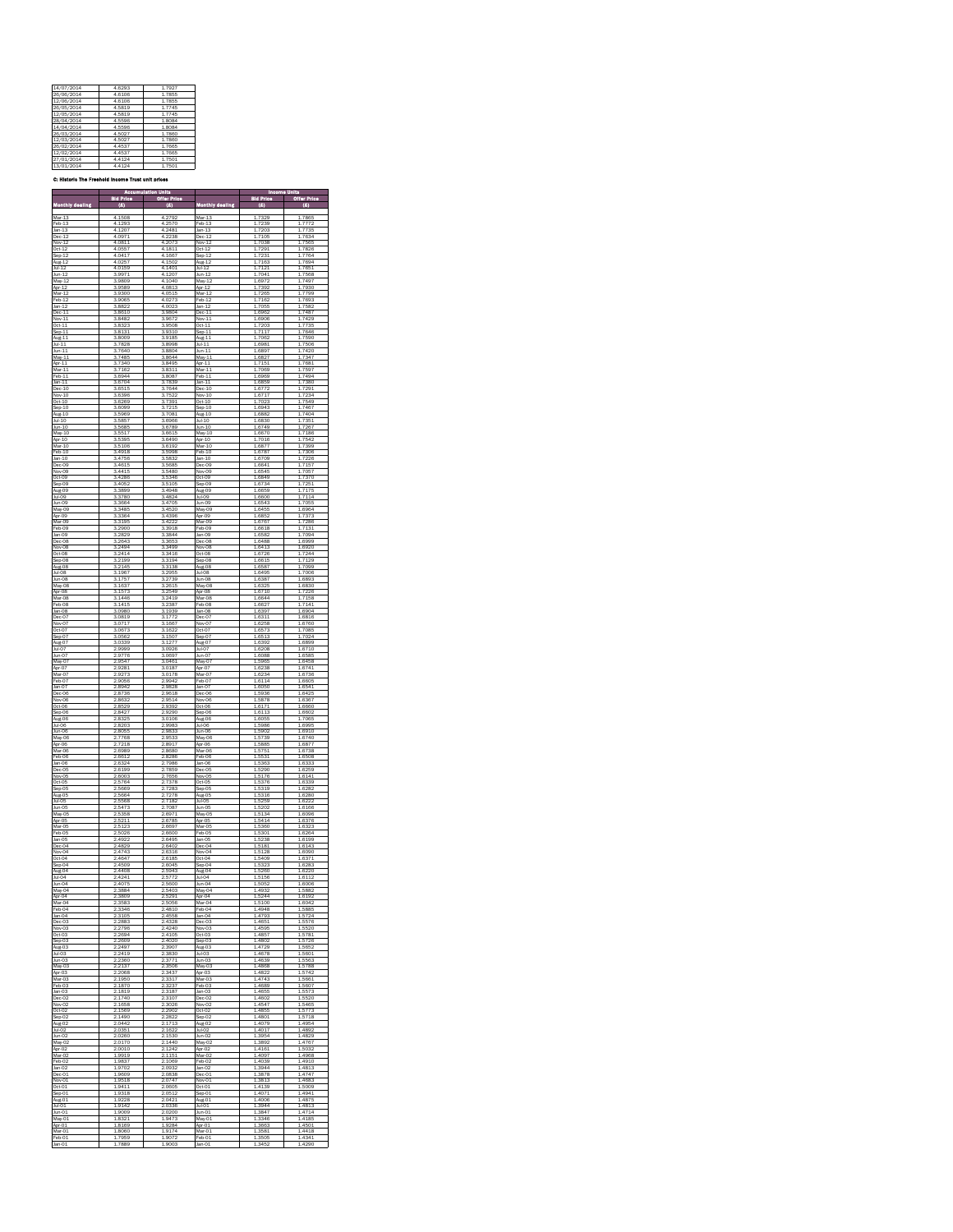| 14/07/2014 | 46293  | 17927     |
|------------|--------|-----------|
| 26/06/2014 | 46106  | 17855     |
| 12/06/2014 | 46106  | 17855     |
| 26/05/2014 | 45819  | 1 7 7 4 5 |
| 12/05/2014 | 45819  | 1 7 7 4 5 |
| 28/04/2014 | 45596  | 1.8084    |
| 14/04/2014 | 45596  | 1.8084    |
| 26/03/2014 | 45027  | 17860     |
| 12/03/2014 | 45027  | 17860     |
| 26/02/2014 | 44537  | 17665     |
| 12/02/2014 | 44537  | 17665     |
| 27/01/2014 | 4.4124 | 17501     |
| 13/01/2014 | 44124  | 17501     |

C: Historic The Freehold Income Trust unit prices

|                            |                        | n Unit                 |                        | ins<br>M               | Units                  |
|----------------------------|------------------------|------------------------|------------------------|------------------------|------------------------|
|                            | id Pric                |                        |                        | d Pri                  | ō.                     |
| Monthly dealing            | <b>CES</b>             |                        | <b>Monthly dealing</b> | <b>COL</b>             |                        |
| Mar-13                     | 4.1508                 | 4.2792                 | Mar-13                 | 1.7329                 | 7865                   |
| Feb-13<br>Jan-13           | 4<br>1293<br>4<br>1207 | 4<br>2570<br>4<br>2481 | Feb-13<br>$lan-13$     | 7239<br>7203           | 7772<br>7735           |
| Dec-12                     | 4.0971                 | 4.2238                 | $Dec-12$               | 7105<br>1              | 7634                   |
| Nov-12                     | 4.0811                 | 4.2073                 | Nov-12                 | 1.7038                 | 1.7565                 |
| Oct-12                     | 4.0557<br>4.0417       | 4.1811<br>4.1667       | $Oct-12$<br>Sep-12     | 1.7291<br>7231<br>1    | 1.7826<br>7764<br>1    |
| Sep 12<br>Sep 12           | 4.0257                 | 4.1502                 | Aug-12                 | 1.7163                 | 1.7694                 |
| $Jul-12$                   | 4.0159<br>3.9971       | 4.1401<br>4.1207       | $Jul-12$<br>Jun-12     | 7121<br>1<br>7041<br>1 | 7651<br>1<br>7568<br>1 |
| $Jun-12$<br>May-12         | 3.9809                 | 4.1040                 | $Mav-12$               | 1.6972                 | 1.7497                 |
| Apr-12                     | 3.9589                 | 4.0813                 | Apr-12                 | 1.7392                 | 1.7930                 |
| Mar-12<br>Feb-12           | 3.9300<br>3.9065       | 4.0515<br>4.0273       | $Mar-12$<br>Feb-12     | 1<br>7265<br>1.7162    | 1<br>.7799<br>1.7693   |
| Jan-12                     | 3.8822                 | 4.0023                 | Jan-12                 | 1.7055                 | 1.7582                 |
| Dec-11                     | 3,8610                 | 3.9804                 | $Dec-11$               | 6962<br>1              | 7487<br>i              |
| Nov-11<br>Oct-11           | 3.8482<br>3.8323       | 3.9672<br>3.9508       | Nov-11<br>$Oct-11$     | 1.6906<br>7203<br>1    | 1.7429<br>7735<br>1    |
| Sep <sub>11</sub>          | 3.8131                 | 3.9310                 | $Sep-11$               | 1.7117                 | 1.7646                 |
| Aug-11<br>$Jul-11$         | 3.8009<br>7828<br>3    | 3.9185<br>3.8998       | Aug-11<br>$Jul-11$     | 1<br>7062<br>1.6981    | 1<br>7590<br>7506<br>1 |
| $Jun-11$                   | 3.7640                 | 3.8804                 | Jun-11                 | 1.6897                 | 1.7420                 |
| May-11                     | 3.7485                 | 38644                  | May-11<br>Anr-11       | 1.6827                 | 7347<br>1<br>1         |
| Apr-11<br><br>Mar-11       | 3.7340<br>3.7162       | 3.8495<br>3.8311       | Mar-11                 | 1.7151<br>.7069<br>1   | 7681<br>.7597<br>1     |
| Feb-11                     | 3.6944                 | 3.8087                 | Feb-11                 | 1.6969                 | 1.7494                 |
| $Jan-11$<br>Dec-10         | 3.6704<br>3.6515       | 3.7839<br>3.7644       | Jan-11<br>$Dec-10$     | 6859<br>1<br>1.6772    | 1<br>7380<br>7291      |
| Nov-10                     | 3.6396                 | 3.7522                 | Nov-10                 | 1.6717                 | 7234<br>1              |
| $Oct-10$                   | 3.6269<br>3.6099       | 3.7391<br>3.7215       | $Oct-10$               | 1.7023<br>16943        | 1.7549<br>17467        |
| $Sep-10$<br>Aug-10         | 3.5969                 | 3.7081                 | $Sep-10$<br>Aug-10     | 1.6882                 | 7404<br>1              |
| $Jul-10$                   | 3.5857                 | 3.6966                 | $Jul-10$               | 1.6830                 | 1.7351                 |
| Jun-10                     | 3.5685<br>3.5517       | 3,6789<br>3.6615       | Jun-10<br>$May-10$     | 1,6749<br>1,6670       | 7267<br>1<br>7186<br>1 |
| May-10<br>Apr-10           | 3.5395                 | 3.6490                 | Apr-10                 | 1.7016                 | 1.7542                 |
| Mar-10                     | 3.5106                 | 3.6192                 | Mar-10                 | 1.6877                 | 1.7399                 |
| $Feb-10$                   | 3.4918<br>3.4756       | 3.5998<br>3.5832       | $Feb-10$<br>$Jan-10$   | 1<br>6787<br>1.6709    | 7306<br>1.7226         |
| Jan-10<br>Dec-09           | 3.4615                 | 3.5685                 | Dec-09                 | 1.6641                 | 1.7157                 |
| Nov-09<br>$Oct-09$         | 3.4415<br>3.4286       | 3.5480<br>3.5346       | Nov-09<br>Oct-09       | 6545<br>1<br>1.6849    | 7057<br>i<br>1,7370    |
|                            | 3.4052                 | 3.5105                 | Sep-09                 | 1.6734                 | 7251<br>1              |
| Sep-09<br>Aug-09           | 3.3899                 | 3.4948                 | Aug-09                 | 1.6659                 | 1.7175                 |
| Jul-09                     | ä<br>3780<br>3664<br>3 | 3.4824<br>3.4705       | Jul-09<br>Jun-09       | 1.6600<br>1.6543       | 1<br>7114<br>7055<br>1 |
|                            | 3.3485                 | 3.4520                 | May-09                 | 1.6455                 | 1.6964                 |
| Jun-09<br>May-09<br>Apr-09 | 3364<br>3              | 3.4396                 | Apr-09<br>Mar-09       | 1.6852                 | 7373<br>1<br>1728F     |
| Mar-09<br>Feb-09           | 3.3195<br>3.2900       | 3.4222<br>3.3918       | Feb-09                 | 1.6767<br>1.6618       | 7131<br>1              |
| Jan-09                     | 3.2829                 | 3.3844                 | Jan-09                 | 1,6582                 | 1.7094                 |
| Dec-08                     | 2643<br>ä              | ä<br>3653<br>3.3499    | Dec-08                 | 1<br>6488              | 1<br>6999              |
| Nov-08<br>Oct-08           | 2494<br>R<br>3<br>2414 | 3.3416                 | Nov-08<br>Oct-08       | 1.6413<br>1.6726       | 1.6920<br>7244<br>1    |
| Sep-08                     | 3.2199                 | 3.3194                 | Sep-08                 | 1.6615                 | 1.7129                 |
| Aug-08<br>Jul-08           | 3.2145<br>3.1967       | 3.3138<br>3.2955       | Aug-08<br>Jul-08       | 16587<br>1.6495        | 1,7099<br>7006<br>1    |
| Jun-08                     | 3.1757                 | 3.2739                 | Jun-08                 | 1.6387                 | 1.6893                 |
| May-08                     | 1637<br>3              | 2615<br>3              | May-08                 | 1.632E                 | 1,6830                 |
| Apr-08<br>Mar-08           | 1573<br>з<br>3.1446    | 2549<br>3<br>3.2419    | Apr-08<br>Mar-08       | 16710<br>1.6644        | 7226<br>1<br>1.7158    |
| Feb-08                     | 3.1415                 | 3.2387                 | Feb-08                 | 1.6627                 | 1.7141                 |
| Jan-08                     | 3.0980                 | 3.1939                 | Jan-08                 | 1<br>6397              | 1<br>6904              |
| Dec-07<br>Nov-07           | 3.0819<br>3.0717       | 3.1772<br>3.1667       | Dec-07<br>Nov-07       | 1.6311<br>1.6258       | 1.6816<br>1.6760       |
| Oct-07                     | 3.0673                 | 3.1622                 | Oct-07                 | 6573<br>1              | 7085<br>i              |
| Sep-07<br>Aug-07           | 3.0562<br>3.0339       | 3.1507<br>3.1277       | Sep-07<br>Aug-07       | 1.6513<br>1.6392       | 1.7024<br>1.6899       |
| Jul-07                     | 2.9999                 | 3.0926                 | Jul-07                 | 1.6208                 | 1.6710                 |
| Jun-07                     | 2.9776                 | 3.0697                 | Jun-07                 | 1.6088                 | 1.6585                 |
| May-07<br>Apr-07           | 2.9547<br>2.9281       | 3.0461<br>3.0187       | May-07<br>Apr-07       | 1.5965<br>1.6238       | 1.6458<br>1.6741       |
| Mar-07                     | 2.9273                 | 3.0178                 | Mar-07                 | 1.6234                 | 1.6736                 |
| Feb-07                     | 2.9056                 | 2.9942                 | Feb-07                 | 1.6114                 | 1,6605                 |
| Jan-07<br>Dec-06           | 2.8942<br>2.8736       | 2.9828<br>2.9618       | Jan-07<br>Dec-06       | 1.6050<br>1.5936       | 1.6541<br>1.6425       |
| Nov-06                     | 8632                   | 2.9514                 | Nov-06                 | 5878                   | 6367<br>1              |
| Oct-06                     | 2.8529                 | 2.9392                 | Oct-06                 | 1.6171                 | 1.6660                 |
| Sep-06<br>Aug-06           | 2.8427<br>2.8325       | 2.9290<br>3.0106       | Sep-06<br>Aug-06       | 1.6113<br>1.6055       | 1.6602<br>1.7065       |
| Jul-06                     | 2.8203                 | 2.9983                 | Jul-06                 | 1,5986                 | 1.6995                 |
| Jun-06                     | 2.8055<br>2.7768       | 2.9833<br>2.9533       | Jun-06<br>May-06       | 1.5902<br>1.5739       | 1.6910<br>1.6740       |
| May-06<br>Apr-06           | 7218<br>ö              | 28917                  | Apr-06                 | 1.58 <sub>RF</sub>     | 1.6877                 |
| Mar-06                     | 2.6989                 | 2.8680                 | Mar-06                 | 1.5751                 | 1.6738                 |
| Feb-06<br>Jan-06           | 2.6612<br>2.6324       | 2.8286<br>2.7986       | Feb-06<br>Jan-06       | 1.5531<br>1.5363       | 1.6508<br>1.6333       |
| Dec-05                     | 2.6199                 | 2.7859                 | Dec-05                 | 1<br>5290              | 1<br>6259              |
| Nov-05<br>Oct-05           | 2.6003<br>2.5764       | 2.7656<br>2.7378       | Nov-05<br>Oct-05       | 1.5176<br>1.5376       | 1.6141<br>1.6339       |
| Sep 05                     | 2.5669                 | 7283<br><sup>2</sup>   | Sep-05                 | 5319<br>1              | 6282<br>1              |
| Aug-05                     | 2,5664                 | 27278                  | Aug-05                 | 15316                  | 16280                  |
| Jul-05<br>Jun-05           | 5568<br>2.5473         | 2.7182<br>2.7087       | Jul-05<br>Jun-05       | 1.5259<br>1.5202       | 1.6222<br>1.6166       |
| May-05                     | 2.5358                 | 2.6971                 | May-05                 | 1<br>5134              | 1.6096                 |
|                            | 2.5211                 | 2.6785                 | Anr-O5<br>Mar-05       | 1.5414                 | 16376                  |
| Apr-05<br>Mar-05<br>Feb-05 | 2.5123<br>2.5026       | 2.6697<br>2,6600       | Feb-O5                 | 1,5360<br>1.5301       | 1.6323<br>1.6264       |
| Jan-05                     | 2.4922                 | 2.6495                 | Jan-05                 | 1.5238                 | 1.6199                 |
| Dec-04<br>Nov-04           | 2.4829<br>2.4743       | 2.6402<br>2.6316       | Dec-04<br>Nov-04       | 1.5181<br>1.5128       | 1.6143<br>1.6090       |
| $Oct-04$                   | 2<br>4647              | 2.6185                 | $Oct-04$               | 5409                   | 637                    |
| Sep-04                     | 2.4509                 | 26045                  | Sep-04                 | 5323                   | 16283                  |
| Aug-04<br>Jul-04           | 2.4408<br>2.4241       | 2.5943<br>2.5772       | Aug-04<br>Jul-04       | 1.5260<br>1.5156       | 1.6220<br>1.6112       |
| Jun-04                     | 2.4075                 | 2.5600                 | $lim-04$               | 1.5052                 | 1.6006                 |
| May-04<br>Apr-04           | 3884<br>3809           | 2.5403<br>2.5291       | May-04<br>Apr-04       | 1.4932<br>1.5244       | 1.5882<br>1.6192       |
| Mar-04                     | 3583<br>ö              | 2.5056                 | Mar-04                 | 5100<br>1              | 1.6042                 |
| Feb-04<br>Jan-04           | 3346<br>2<br>3105      | 2.4810<br>2.4558       | Feb-04<br>Jan-04       | 1.4948<br>1.4793       | 1,5885<br>5724<br>1    |
| Dec-03                     | 2.2883                 | 2.4328                 | Dec-03                 | 1.4651                 | 1.5576                 |
| Nov-03                     | 2796                   | 2.4240                 | Nov-03                 | 4595                   | 5520                   |
| Oct-03<br>Sep-03           | 2694<br>2609           | 2.4105<br>2.4020       | Oct-03<br>Sep03        | 1.4857<br>1.4802       | 1.5781<br>1.5726       |
| Aug-03                     | 2497                   | 3907<br>ó              | Aug-03                 | 4720<br>i              | 5652<br>1              |
| Jul-03<br>Jun-03           | 2419<br>2<br>2360      | 2.3830<br>3771         | h403<br>Jun-03         | 14678<br>1.4639        | 1,5601<br>1.5563       |
| May-03                     | 2.2137                 | 2.3506                 | May-03                 | 1.4868                 | 1.5788                 |
| Apr-03                     | 2068                   | 2.3437                 | Apr-03                 | 1<br>4822              | 1<br>5742              |
| Mar-03<br>Feb-03           | 1950<br>1870           | 2.3317<br>2.3237       | Mar-03<br>Feb-03       | 1.4743<br>1.4689       | 1.5661<br>1.560        |
| Jan-03                     | 1810<br>ó              | 3187<br>ż              | Jan-03                 | 4655<br>1              | 1.5573                 |
| Dec-02<br>Nov-02           | 1740<br>2<br>1658      | 2.3107<br>3026         | Dec-02<br>Nov-02       | 1.4602<br>1.4547       | 1.5520<br>1.5465       |
| Oct-02                     | 2.1569                 | 2.2902                 | Oct-02                 | 1.4855                 | 1.5773                 |
| Sep 02                     | 1490                   | 2822                   | Sep 02                 | 4801                   | 5718                   |
| Aug-02<br>Jul-02           | 2.0442<br>2.0351       | 1713<br>2.1622         | Aug-02<br>$Jul-02$     | 4079<br>1.4017         | 4954<br>1.4892         |
| Jun-02                     | 2.0260                 | 2.1530                 | Jun-02                 | 1.3954                 | 1.4829                 |
| May-02<br>Apr-02           | 20170                  | 2.1440<br>1242         | May-02                 | 1.3892                 | 1.4767<br>1.5032       |
| Mar-02                     | 2.0010<br>1.9919       | 2.1151                 | Apr-02<br>Mar-02       | 1.4161<br>1.4097       | 1.4968                 |
| Feb-02                     | 9837<br>1              | <sup>2</sup><br>1069   | Feb-02                 | 4039<br>1              | 4910<br>1              |
| Jan-02<br>Dec-01           | .9702<br>1<br>1.9609   | 2.0932<br>2.0838       | Jan-02<br>Dec-01       | 3944<br>1<br>1.3878    | 4813<br>1<br>1.4747    |
| Nov-01                     | 1.9518                 | 2.0747                 | Nov-01                 | 1.3813                 | 1.4683                 |
| $Oct-01$                   | 941                    | 2.0605                 | $Oct-01$               | 4139                   | 5009                   |
| Sep-01<br>Aug-01           | 1.9318<br>1.9228       | 2.0512<br>2.0421       | Sep-01<br>Aug-01       | 1.4071<br>1.4006       | 1.4941<br>1.4875       |
| Jul-01                     | 9142                   | 2.0336                 | Jul-01                 | 3944<br>i              | 4813<br>1              |
| Jun-01<br>May-01           | 1.9009<br>1.832        | 2.0200<br>1.9473       | Jun-01<br>May-01       | 1.3847<br>3346         | 1.4714<br>1.418        |
| Apr-01                     | 1.8169                 | 1.9284                 | Apr-01                 | 1.3663                 | 1.4501                 |
|                            |                        |                        |                        |                        |                        |
| Mar-01<br>Feb-01           | 8060<br>7959           | 1<br>9174<br>1.9072    | Mar-01<br>Feb-01       | j<br>3581<br>3505      | 1<br>4418<br>1.4341    |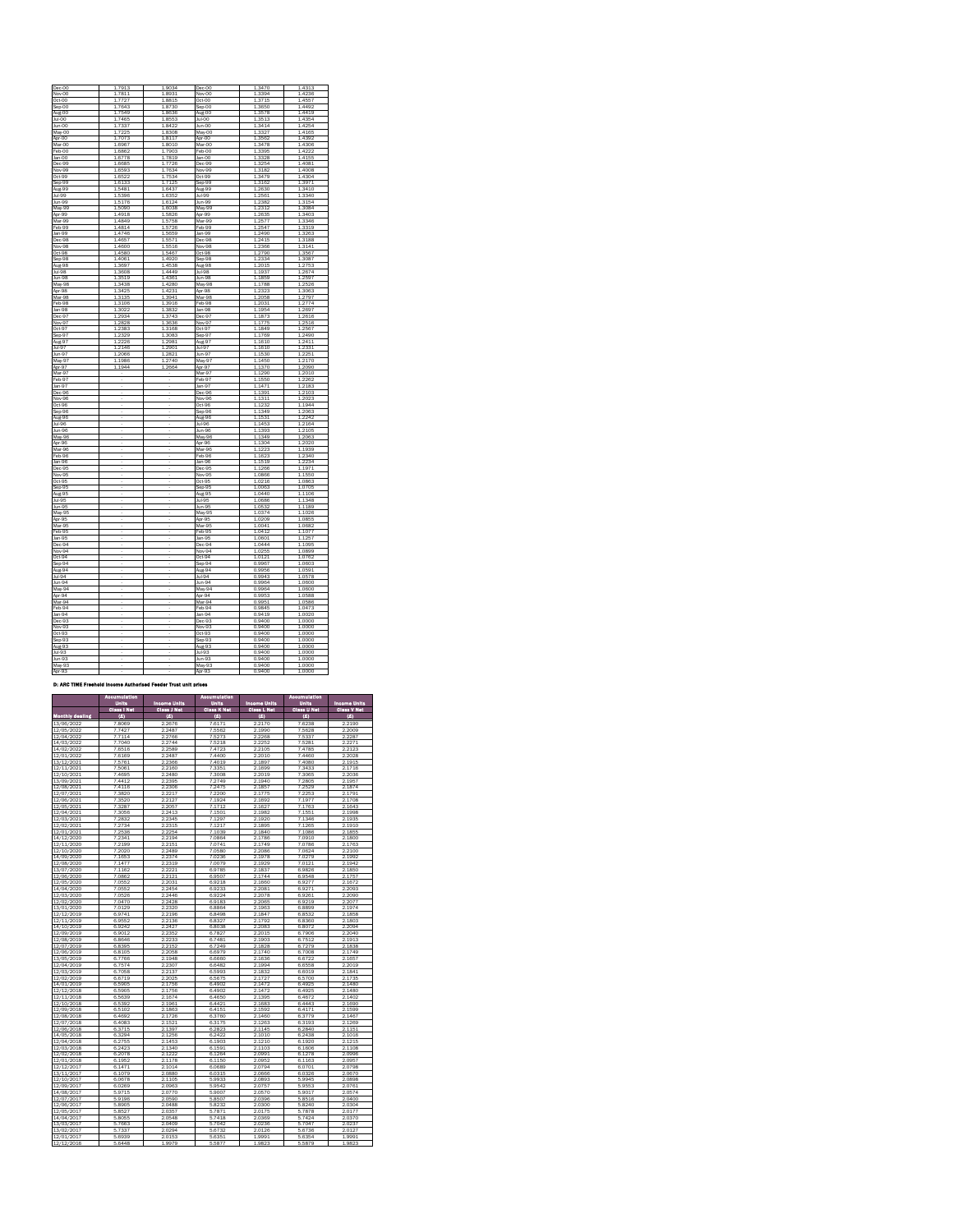<span id="page-3-1"></span>

| Dec-00      | .7913<br>1           | 1.9034     | Dec-00              | 1.3470    | 1.4313     |
|-------------|----------------------|------------|---------------------|-----------|------------|
| Nov-00      | 17811                | 1.8931     | Nov-00              | 1.3394    | 1 4236     |
| Oct-00      | 1.7727               | 1.8815     | Oct-00              | 1.3715    | 1.4557     |
| Sep-00      | 1.7643               | 1.8730     | Sep-00              | 1.3650    | 1.4492     |
| $A110 - 00$ | 17549                | 18636      | $A \cup \sigma$ -OO | 1.3578    | 1 4419     |
| Jul-00      | 17465                | 18553      | Jul-00              | 1.3513    | 14354      |
|             |                      |            |                     |           |            |
| Jun-00      | 1.7337               | 1.8422     | Jun-00              | 1.3414    | 1.4254     |
| May-00      | 1.7225               | 1.8308     | May-00              | 1.3327    | 1.4165     |
| Apr-OO      | 7073<br>1            | 18117      | Anr-00              | 1.3562    | 1 4392     |
| Mar-00      | 1.6967               | 18010      | Mar-00              | 1.3478    | 1.4306     |
| Feb-00      | 16862                | 17903      | Feb-00              | 1.3395    | 14222      |
|             |                      | 1<br>.7819 |                     | Ŧ<br>3328 | 1.4155     |
| Jan-00      | 1,6778               |            | Jan-00              |           |            |
| Dec-99      | 1.6685               | 1.7726     | Dec-99              | 1.3254    | 1.4081     |
| Nov-99      | 1,6593               | 1.7634     | Nov-99              | 1.3182    | 1,4008     |
| Oct-99      | 1.6522               | 1<br>7534  | Oct-99              | 1<br>3479 | 1.4304     |
| Sep-99      | 1.6133               | 1.7125     | Sep-99              | 1.3162    | 1.3971     |
|             | 5481                 |            |                     |           | 3410       |
| Aug-99      |                      | 1.6437     | Aug-99              | 2630<br>1 | 1          |
| Jul-99      | 5396<br>$\mathbf{1}$ | 1.6352     | Jul-99              | 2561<br>1 | 1.3340     |
| Jun-99      | 1.5176               | 1.6124     | Jun-99              | 1.2382    | 1.3154     |
| May-99      | 15090                | 1.6038     | May-99              | 1 2 3 1 2 | 1.3084     |
| Apr-99      | 1 4918               | 15826      | Apr-99              | 1.2635    | 1.3403     |
| Mar-99      | .4849                | 1.5758     | Mar-99              | 2577      | 3346       |
|             |                      |            |                     |           |            |
| Feb-99      | 1.4814               | 1.5726     | Feb-99              | 1.2547    | 1.3319     |
| Jan-99      | 1 4746               | 1.5659     | lan-99              | 1,2490    | 1.3263     |
| Dec-98      | 4657                 | 1.5571     | Dec-98              | 1.2415    | 1<br>3188  |
| Nov-98      | 1.4600               | 1.5516     | Nov-98              | 1.2366    | 1.3141     |
| Oct-98      | 1.4580               | 1.5467     | Oct-98              | 1<br>2790 | 1.3567     |
|             |                      |            |                     |           |            |
| Sep-98      | 1.4061               | 1.4920     | Sep-98              | 1.2334    | 1.3087     |
| Aug.98      | 1.3697               | 14538      | $A110-98$           | 1.2015    | 1.2753     |
| Jul-98      | 3608<br>1            | 1.4449     | Jul-98              | 1.1937    | 1.2674     |
| Jun-98      | 1.3519               | 1.4361     | Jun-98              | 1.1859    | 1.2597     |
| May-98      | 3438                 | 1.4280     | May-98              | Ŧ<br>1788 | 1<br>2526  |
|             |                      |            |                     |           |            |
| Apr-98      | 1.3425               | 1.4231     | Apr-98              | 1.2323    | 1.3063     |
| Mar-98      | 1.3135               | 1.3941     | Mar-98              | 1.2058    | 1.2797     |
| Feb-98      | 3106                 | 1.3916     | Feb-98              | 2031<br>1 | 2774<br>1  |
| Jan-98      | 1.3022               | 1.3832     | Jan-98              | 1.1954    | 1.2697     |
| Dec-97      | 2934<br>1            | ī<br>3743  | Dec-97              | 1<br>1873 | 1<br>2616  |
|             |                      |            |                     |           |            |
| Nov-97      | 1 2828               | 1.3636     | Nov-97              | 1.1775    | 1.2516     |
| Oct-97      | 12383                | 1.3168     | Oct-97              | 11849     | 1.2567     |
| Sep-97      | 1.2329               | 1.3083     | Sep-97              | 1.1769    | 1.2490     |
| Aug-97      | 1.2226               | 1.2981     | Aug-97              | 1.1610    | 1.2411     |
|             | 1<br>2146            | 1<br>2901  | $hA-97$             | 1         | 1<br>2331  |
| Jul-97      |                      |            |                     | 1610      |            |
| Jun-97      | 2066<br>1            | 2821<br>1  | $Jun-97$            | 1.1530    | 2251<br>1  |
| May-97      | 1.1986               | 1.2740     | May-97              | 1.1450    | 1.2170     |
| Apr-97      | 1944                 | 2664       | Apr-97              | 1.1370    | 1.2090     |
| Mar-97      |                      |            | Mar-97              | 1.1290    | 1.2010     |
| Feb-97      | ä,                   | ä,         | Feb-97              | 11550     | 1.2262     |
|             |                      |            |                     |           |            |
| Jan-97      |                      | J.         | Jan-97              | 1.1471    | 1.2183     |
| Dec-96      |                      |            | Dec-96              | 1.1391    | 1.2103     |
| Nov-96      |                      |            | Nov-96              | 1311      | 2023       |
| Oct-96      |                      |            | Oct-96              | 11232     | 1 1944     |
| Sep-96      |                      | ä,         | Sep-96              | 1 1349    | 1.2063     |
|             |                      |            |                     |           |            |
| Aug-96      |                      |            | Aug-96              | 1.1531    | 1 2242     |
| Jul-96      |                      |            | Jul-96              | 1.1453    | 1.2164     |
| Jun-96      |                      |            | Jun-96              | 1.1393    | 1.2105     |
| May-96      |                      | í,         | May-96              | 1 1349    | 1.2063     |
|             |                      |            | Apr-96              |           |            |
| Apr-96      |                      |            |                     | 1.1304    | 1.2020     |
| Mar-96      |                      |            | Mar-96              | 1.1223    | 1.1939     |
| Feb-96      |                      |            | Feb-96              | 1.1623    | 1<br>2340  |
| Jan-96      |                      |            | Jan-96              | 11519     | 1.2234     |
| Dec-95      |                      | ä,         | Dec-95              | 11266     | 1 1971     |
| Nov-95      |                      |            | Nov-95              | 1.0866    | 11550      |
| Oct-95      |                      |            | Oct-95              | 1.0216    | 1.0863     |
|             |                      |            |                     |           |            |
| Sep-95      |                      |            | Sep-95              | 1.0063    | 1.0705     |
| Aug-95      |                      |            | Aug-95              | 10440     | 11106      |
| Jul-95      |                      |            | Jul-95              | 1.0686    | 1<br>1348  |
| Jun-95      |                      |            | Jun-95              | 1.0532    | 1.1189     |
| May-95      |                      |            | May-95              | 1.0374    | ł.<br>1026 |
| Apr-95      |                      |            | Apr-95              | 1.0209    | 1.0855     |
|             |                      |            |                     |           |            |
| Mar-95      |                      |            | Mar-95              | 1.0041    | 1.0682     |
| Feb-95      |                      |            | Feb-95              | 10412     | 1 1077     |
| Jan-95      |                      |            | Jan-95              | 1.0601    | 1.1257     |
| Dec-94      |                      |            | Dec-94              | 1.0444    | 1.1095     |
| Nov-94      |                      |            |                     | 1.0255    | 1.0899     |
|             |                      |            | Nov-94              |           |            |
| Oct-94      |                      |            | Oct-94              | 1.0121    | 1.0762     |
| Sep-94      |                      |            | Sep-94              | 9967      | 1<br>0603  |
| Aug-94      |                      |            | Aug-94              | 0.9956    | 1.0591     |
| Jul-94      |                      |            | Jul-94              | 0.9943    | 1.0578     |
| Jun-94      |                      |            | Jun-94              | 0.9964    | 1.0600     |
|             |                      |            |                     |           |            |
| May-94      |                      |            | May-94              | 0.9964    | 1.0600     |
| Apr-94      |                      |            | Apr-94              | 0.9953    | 10588      |
| Mar-94      |                      |            | Mar-94              | 0.9951    | 1.0586     |
| Feb-94      |                      |            | Feb-94              | 0.9845    | 1.0473     |
|             |                      |            |                     |           |            |
| Jan-94      |                      |            | Jan-94              | 0.9419    | 1.0020     |
| Dec-93      |                      |            | Dec-93              | 0.9400    | 1.0000     |
| Nov-93      |                      |            | Nov-93              | 0.9400    | 1.0000     |
| Oct-93      |                      |            | Oct-93              | 0.9400    | 1.0000     |
| Sep-93      |                      |            | Sep-93              | 0.9400    | 1.0000     |
|             |                      |            |                     |           |            |
| Aug-93      |                      |            | Aug-93              | 0.9400    | 1.0000     |
| Jul-93      |                      |            | Jul-93              | 0.9400    | 1.0000     |
| Jun-93      |                      |            | Jun-93              | 0.9400    | 1.0000     |
| May-93      |                      |            | May-93              | 0.9400    | 1.0000     |
|             |                      |            |                     |           | 1.0000     |
| Apr-93      |                      |            | Apr-93              | 0.9400    |            |

#### D: ARC TIME Freehold Income Authorised Feeder Trust unit prices

<span id="page-3-3"></span><span id="page-3-2"></span><span id="page-3-0"></span>

|                          | <b>Accumulation</b> |                     | <b>Accumulation</b> |                     | <b>Accumulation</b> |                     |
|--------------------------|---------------------|---------------------|---------------------|---------------------|---------------------|---------------------|
|                          | Units               | <b>Income Units</b> | Units               | <b>Income Units</b> | Units               | <b>Income Units</b> |
|                          | <b>Class I Not</b>  | <b>Class J Net</b>  | <b>Class K Net</b>  | <b>Class L Not</b>  | <b>Class U Not</b>  | <b>Class V Not</b>  |
| <b>Monthly dealing</b>   | Ø                   | (8)                 | (8)                 | (6)                 | (6)                 | (8)                 |
| 13/06/2022               | 7,8069              | 2.2676              | 7.6171              | 2.2170              | 7.6238              | 2.2190              |
| 12/05/2022               | 7.7427              | 2.2487              | 7.5562              | 2.1990              | 7.5628              | 2.2009              |
| 12/04/2022               | 7.7114              | 2.2766              | 7.5273              | 2.2268              | 7.5337              | 2.2287              |
| 14/03/2022               | 7.7040              | 2.2744              | 7.5218              | 2.2252              | 7.5281              | 2.2271              |
| 14/02/2022               | 7.6516              | 2.2589              | 7.4723              | 2.2105              | 7.4785              | 2.2123              |
| 12/01/2022               | 7.6169              | 2.2487              | 7,4400              | 2.2010              | 7.4460              | 2.2028              |
| 13/12/2021               | 7,5761<br>7.5061    | 2.2366<br>2.2160    | 7,4019              | 2.1897              | 7.4080              | 2.1915              |
| 12/11/2021               |                     | 2.2480              | 7.3351              | 2.1699<br>2.2019    | 7.3433<br>7.3065    | 2.1716<br>2.2036    |
| 12/10/2021<br>13/09/2021 | 7.4695<br>7,4412    | 2.2395              | 7.3008<br>7.2749    | 2.1940              | 7.2805              | 2.1957              |
| 12/08/2021               | 7,4116              | 2.2306              | 7.2475              | 2.1857              | 7.2529              | 2.1874              |
| 12/07/2021               | 7.3820              | 2.2217              | 7.2200              | 2.1775              | 7.2253              | 2.1791              |
| 12/06/2021               | 7.3520              | 2.2127              | 7.1924              | 2.1692              | 7.1977              | 2.1708              |
| 12/05/2021               | 7.3287              | 2.2057              | 7.1712              | 2.1627              | 7.1763              | 2.1643              |
| 12/04/2021               | 7.3056              | 2.2413              | 7.1501              | 2.1982              | 7.1551              | 2.1998              |
| 12/03/2021               | 7.2832              | 2.2345              | 7.1297              | 2.1920              | 7.1346              | 2.1935              |
| 12/02/2021               | 7.2734              | 2.2315              | 7.1217              | 2.1895              | 7.1265              | 2.1910              |
| 12/01/2021               | 7.2536              | 2.2254              | 7.1039              | 2.1840              | 7.1086              | 2.1855              |
| 14/12/2020               | 7.2341              | 2.2194              | 7.0864              | 2.1786              | 7.0910              | 2.1800              |
| 12/11/2020               | 7.2199              | 2.2151              | 7.0741              | 2.1749              | 7.0786              | 2.1763              |
| 12/10/2020               | 7,2020              | 2.2489              | 7.0580              | 2.2086              | 7.0624              | 2.2100              |
| 14/09/2020               | 7.1653              | 2.2374              | 7.0236              | 2.1978              | 7.0279              | 2.1992              |
| 12/08/2020               | 7.1477              | 2.2319              | 7.0079              | 2.1929              | 7.0121              | 2.1942              |
| 13/07/2020               | 7.1162              | 2.2221              | 6.9785              | 2.1837              | 6.9826              | 2.1850              |
| 12/06/2020               | 7.0862              | 2.2121              | 6.9507              | 2.1744              | 6.9548              | 2.1757              |
| 12/05/2020               | 7.0552              | 2.2031              | 6.9218              | 2.1660              | 6.9277              | 2.1672              |
| 14/04/2020               | 7.0552              | 2.2454              | 6.9233              | 2.2081              | 6.9271              | 2.2093              |
| 12/03/2020               | 7.0526              | 2.2446              | 6.9224              | 2.2078              | 6.9261              | 2.2090              |
| 12/02/2020               | 7.0470              | 2.2428              | 6.9183              | 2.2065              | 6.9219              | 2.2077              |
| 13/01/2020               | 7.0129              | 2.2320              | 6,8864              | 2.1963              | 6.8899              | 2.1974              |
| 12/12/2019               | 6.9741              | 2.2196              | 6.8498              | 2.1847              | 6.8532              | 2.1858              |
| 12/11/2019               | 6.9552              | 2.2136              | 6.8327              | 2.1792              | 6.8360              | 2.1803              |
| 14/10/2019               | 6.9242              | 2.2427              | 6.8038              | 2.2083              | 6.8072              | 2.2094              |
| 12/09/2019               | 6.9012              | 2.2352              | 6.7827              | 2.2015              | 6.7906              | 2.2040              |
| 12/08/2019               | 6,8646              | 2.2233              | 6.7481              | 2.1903              | 6.7512              | 2.1913              |
| 12/07/2019               | 6.8395              | 2.2152              | 6.7249              | 2.1828              | 6.7279              | 2.1838              |
| 12/06/2019               | 6.8105              | 2.2058              | 6.6979              | 21740               | 6.7008              | 21749               |
| 13/05/2019               | 6.7766              | 2.1948              | 6.6660              | 2.1636              | 6.6722              | 2.1657              |
| 12/04/2019               | 6.7574              | 2.2307              | 6.6482              | 2.1994              | 6.6558              | 2.2019              |
| 12/03/2019               | 6.7058              | 2.2137              | 6.5993              | 2.1832              | 6.6019              | 2.1841              |
| 12/02/2019               | 6.6719<br>6.5905    | 2.2025              | 6.5675              | 2.1727              | 6.5700              | 2.1735              |
| 14/01/2019               |                     | 2.1756              | 6.4902              | 2.1472              | 6.4925              | 2.1480              |
| 12/12/2018<br>12/11/2018 | 6.5905<br>6,5639    | 2.1756<br>2.1674    | 6.4902<br>6.4650    | 2.1472<br>2.1395    | 6.4925<br>6.4672    | 2.1480<br>2.1402    |
| 12/10/2018               | 6.5392              | 2.1961              | 6.4421              | 2.1683              | 6.4443              | 2.1690              |
| 12/09/2018               | 6.5102              | 2.1863              | 6.4151              | 2.1592              | 6.4171              | 2.1599              |
| 12/08/2018               | 6,4692              | 2.1726              | 6.3760              | 2.1460              | 6.3779              | 2.1467              |
| 12/07/2018               | 6,4083              | 2.1521              | 6.3175              | 2.1263              | 6.3193              | 2.1269              |
| 12/06/2018               | 6.3715              | 2.1397              | 6.2823              | 2.1145              | 6.2840              | 2.1151              |
| 14/05/2018               | 6.3294              | 2.1256              | 6.2422              | 2.1010              | 6.2438              | 2.1016              |
| 12/04/2018               | 6.2755              | 2.1453              | 6.1903              | 2.1210              | 6.1920              | 2.1215              |
| 12/03/2018               | 6.2423              | 2.1340              | 6.1591              | 2.1103              | 6.1606              | 2.1108              |
| 12/02/2018               | 6,2078              | 2.1222              | 6.1264              | 2.0991              | 6.1278              | 2.0996              |
| 12/01/2018               | 6.1952              | 2.1178              | 6.1150              | 2.0952              | 6.1163              | 2.0957              |
| 12/12/2017               | 6.1471              | 2.1014              | 6.0689              | 2.0794              | 6.0701              | 2.0798              |
| 13/11/2017               | 6.1079              | 2.0880              | 6.0315              | 2.0666              | 6.0326              | 2.0670              |
| 12/10/2017               | 6.0678              | 2.1105              | 5.9933              | 2.0893              | 5.9945              | 2.0898              |
| 12/09/2017               | 6.0269              | 2.0963              | 5.9542              | 2.0757              | 5.9553              | 2.0761              |
| 14/08/2017               | 59715               | 2.0770              | 59007               | 2.0570              | 59017               | 2.0574              |
| 12/07/2017               | 5.9196              | 2.0590              | 5.8507              | 2.0396              | 5.8516              | 2.0400              |
| 12/06/2017               | 5.8905              | 2.0488              | 5.8232              | 2.0300              | 5.8240              | 2.0304              |
| 12/05/2017               | 5.8527              | 2.0357              | 5.7871              | 2.0175              | 5.7878              | 2.0177              |
| 14/04/2017               | 5.8055              | 2.0548              | 5.7418              | 2.0369              | 5.7424              | 2.0370              |
| 13/03/2017               | 5.7663              | 2.0409              | 5.7042              | 2.0236              | 5.7047              | 2.0237              |
| 13/02/2017               | 5.7337              | 2.0294              | 5.6732              | 2.0126              | 5.6736              | 2.0127              |
| 12/01/2017               | 5.6939              | 2.0153              | 5.6351              | 1.9991              | 5.6354              | 1.9991              |
| 12/12/2016               | 5.6448              | 1.9979              | 5.5877              | 1.9823              | 5.5879              | 1.9823              |